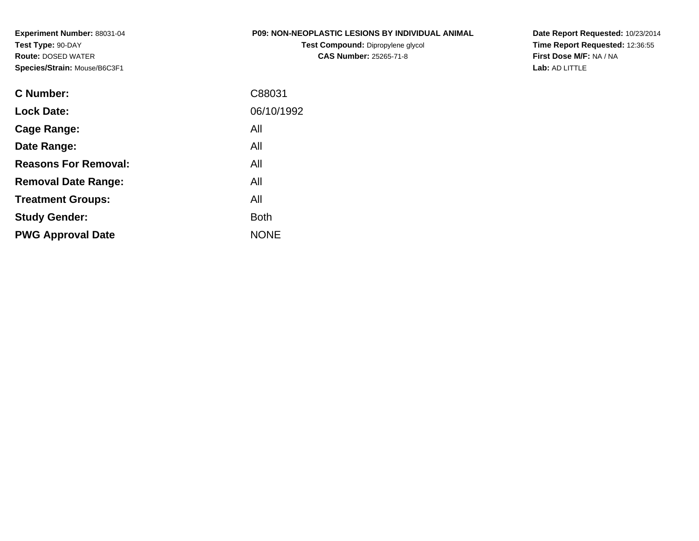**Experiment Number:** 88031-04**Test Type:** 90-DAY **Route:** DOSED WATER**Species/Strain:** Mouse/B6C3F1

## **P09: NON-NEOPLASTIC LESIONS BY INDIVIDUAL ANIMAL**

**Test Compound:** Dipropylene glycol **CAS Number:** 25265-71-8

**Date Report Requested:** 10/23/2014 **Time Report Requested:** 12:36:55**First Dose M/F:** NA / NA**Lab:** AD LITTLE

| C Number:                   | C88031      |
|-----------------------------|-------------|
| <b>Lock Date:</b>           | 06/10/1992  |
| Cage Range:                 | All         |
| Date Range:                 | All         |
| <b>Reasons For Removal:</b> | All         |
| <b>Removal Date Range:</b>  | All         |
| <b>Treatment Groups:</b>    | All         |
| <b>Study Gender:</b>        | <b>Both</b> |
| <b>PWG Approval Date</b>    | <b>NONE</b> |
|                             |             |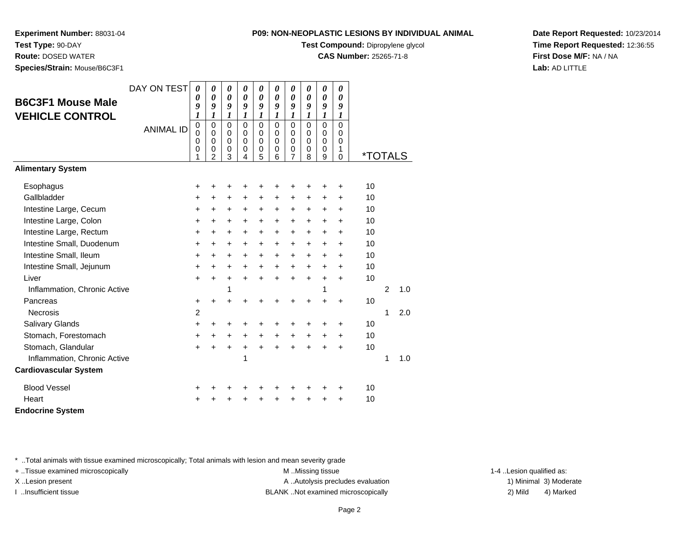**Test Compound:** Dipropylene glycol

**CAS Number:** 25265-71-8

**Date Report Requested:** 10/23/2014**Time Report Requested:** 12:36:55**First Dose M/F:** NA / NA**Lab:** AD LITTLE

\* ..Total animals with tissue examined microscopically; Total animals with lesion and mean severity grade

+ ..Tissue examined microscopically examined microscopically examined as:  $M$  ..Missing tissue 1-4 ..Lesion qualified as:

|                              | DAY ON TEST      | 0<br>0                          | 0<br>$\boldsymbol{\theta}$     | 0<br>$\boldsymbol{\theta}$ | 0<br>$\boldsymbol{\theta}$           | 0<br>0                     | 0<br>0                     | 0<br>0                     | 0<br>0                   | 0<br>0                               | 0<br>0                  |                       |                |     |
|------------------------------|------------------|---------------------------------|--------------------------------|----------------------------|--------------------------------------|----------------------------|----------------------------|----------------------------|--------------------------|--------------------------------------|-------------------------|-----------------------|----------------|-----|
| <b>B6C3F1 Mouse Male</b>     |                  | 9                               | 9                              | 9                          | 9                                    | 9                          | 9                          | 9                          | 9                        | 9                                    | 9                       |                       |                |     |
| <b>VEHICLE CONTROL</b>       |                  | $\boldsymbol{l}$                | $\boldsymbol{l}$               | 1                          | $\boldsymbol{l}$                     | 1                          | $\boldsymbol{l}$           | $\boldsymbol{l}$           | $\boldsymbol{l}$         | $\boldsymbol{l}$                     | $\boldsymbol{l}$        |                       |                |     |
|                              | <b>ANIMAL ID</b> | $\pmb{0}$<br>$\Omega$<br>0<br>0 | $\Omega$<br>$\Omega$<br>0<br>0 | $\mathbf 0$<br>0<br>0<br>0 | $\mathbf 0$<br>0<br>$\mathbf 0$<br>0 | $\mathbf 0$<br>0<br>0<br>0 | $\mathbf 0$<br>0<br>0<br>0 | $\mathbf 0$<br>0<br>0<br>0 | $\pmb{0}$<br>0<br>0<br>0 | $\mathbf 0$<br>$\mathbf 0$<br>0<br>0 | $\Omega$<br>0<br>0<br>1 |                       |                |     |
|                              |                  | 1                               | $\overline{c}$                 | 3                          | 4                                    | 5                          | 6                          | 7                          | 8                        | 9                                    | 0                       | <i><b>*TOTALS</b></i> |                |     |
| <b>Alimentary System</b>     |                  |                                 |                                |                            |                                      |                            |                            |                            |                          |                                      |                         |                       |                |     |
| Esophagus                    |                  | +                               | +                              |                            |                                      |                            | +                          | +                          | +                        | +                                    | +                       | 10                    |                |     |
| Gallbladder                  |                  | +                               | $\ddot{}$                      | $\ddot{}$                  | $\ddot{}$                            | $\ddot{}$                  | $\ddot{}$                  | $\ddot{}$                  | +                        | $\ddot{}$                            | +                       | 10                    |                |     |
| Intestine Large, Cecum       |                  | $\ddot{}$                       | $\pm$                          | $+$                        | $\ddot{}$                            | $\ddot{}$                  | $\ddot{}$                  | $\ddot{}$                  | $\ddot{}$                | $\ddot{}$                            | $\ddot{}$               | 10                    |                |     |
| Intestine Large, Colon       |                  | $\ddot{}$                       | $\ddot{}$                      | $\ddot{}$                  | $\ddot{}$                            | $\ddot{}$                  | $\ddot{}$                  | $\ddot{}$                  | $\ddot{}$                | $\pm$                                | $\ddot{}$               | 10                    |                |     |
| Intestine Large, Rectum      |                  | $\pm$                           | $\ddot{}$                      | $\ddot{}$                  | $\ddot{}$                            | +                          | $\ddot{}$                  | $\ddot{}$                  | $\ddot{}$                | +                                    | +                       | 10                    |                |     |
| Intestine Small, Duodenum    |                  | $\pm$                           | $\ddot{}$                      | $\ddot{}$                  | $\ddot{}$                            | $\pm$                      | +                          | $\ddot{}$                  | $\ddot{}$                | $\pm$                                | $\ddot{}$               | 10                    |                |     |
| Intestine Small, Ileum       |                  | +                               | +                              | $\ddot{}$                  | $\ddot{}$                            | +                          | $\ddot{}$                  | $\ddot{}$                  | +                        | +                                    | $\ddot{}$               | 10                    |                |     |
| Intestine Small, Jejunum     |                  | $\ddot{}$                       | $\ddot{}$                      | +                          | $\ddot{}$                            | $\ddot{}$                  | $\ddot{}$                  | $\ddot{}$                  | $\ddot{}$                | $\ddot{}$                            | $\ddot{}$               | 10                    |                |     |
| Liver                        |                  | $\ddot{}$                       | $\ddot{}$                      | $\ddot{}$                  | ÷                                    | $\ddot{}$                  | $\ddot{}$                  | $\ddot{}$                  | $\ddot{}$                | $\ddot{}$                            | $\ddot{}$               | 10                    |                |     |
| Inflammation, Chronic Active |                  |                                 |                                | 1                          |                                      |                            |                            |                            |                          | 1                                    |                         |                       | $\overline{2}$ | 1.0 |
| Pancreas                     |                  | +                               | +                              |                            |                                      | +                          | +                          | +                          | $\ddot{}$                | $\ddot{}$                            | $\ddot{}$               | 10                    |                |     |
| <b>Necrosis</b>              |                  | $\overline{c}$                  |                                |                            |                                      |                            |                            |                            |                          |                                      |                         |                       | 1              | 2.0 |
| <b>Salivary Glands</b>       |                  | $\ddot{}$                       | ÷                              | ÷                          | ٠                                    | ٠                          | +                          | +                          | +                        | ٠                                    | ٠                       | 10                    |                |     |
| Stomach, Forestomach         |                  | $\ddot{}$                       | $\ddot{}$                      | $\ddot{}$                  | $\ddot{}$                            | $\ddot{}$                  | $\ddot{}$                  | $\ddot{}$                  | $\ddot{}$                | $\ddot{}$                            | +                       | 10                    |                |     |
| Stomach, Glandular           |                  | $+$                             | $\ddot{}$                      | $\ddot{}$                  | $\ddot{}$                            | $\ddot{}$                  | $\ddot{}$                  | $\ddot{}$                  | $\ddot{}$                | $\ddot{}$                            | $\ddot{}$               | 10                    |                |     |
| Inflammation, Chronic Active |                  |                                 |                                |                            | 1                                    |                            |                            |                            |                          |                                      |                         |                       | 1              | 1.0 |
| <b>Cardiovascular System</b> |                  |                                 |                                |                            |                                      |                            |                            |                            |                          |                                      |                         |                       |                |     |
| <b>Blood Vessel</b>          |                  | +                               |                                |                            |                                      |                            | +                          |                            |                          |                                      | +                       | 10                    |                |     |
| Heart                        |                  |                                 |                                |                            |                                      | +                          | +                          | +                          | +                        | +                                    | +                       | 10                    |                |     |
| <b>Endocrine System</b>      |                  |                                 |                                |                            |                                      |                            |                            |                            |                          |                                      |                         |                       |                |     |

**Experiment Number:** 88031-04**Test Type:** 90-DAY

**Route:** DOSED WATER

**Species/Strain:** Mouse/B6C3F1

X..Lesion present **A ..Autolysis precludes evaluation** A ..Autolysis precludes evaluation 1) Minimal 3) Moderate I ..Insufficient tissue BLANK ..Not examined microscopically 2) Mild 4) Marked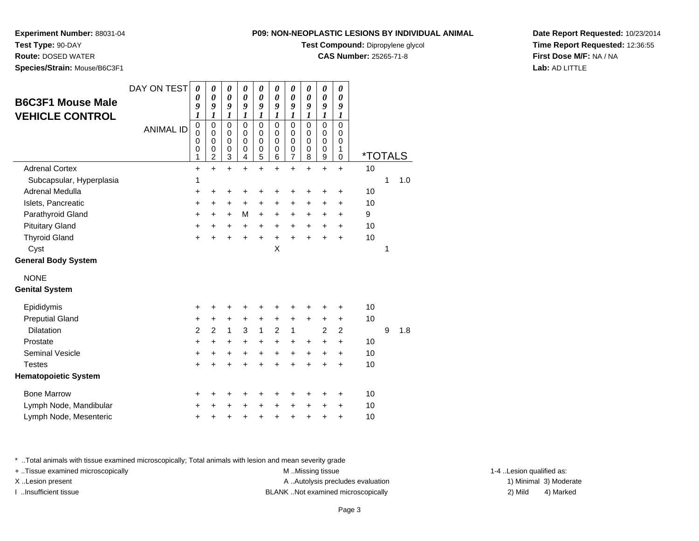**Test Compound:** Dipropylene glycol

**CAS Number:** 25265-71-8

**Date Report Requested:** 10/23/2014**Time Report Requested:** 12:36:55**First Dose M/F:** NA / NA**Lab:** AD LITTLE

| <b>B6C3F1 Mouse Male</b><br><b>VEHICLE CONTROL</b> | DAY ON TEST<br><b>ANIMAL ID</b> | 0<br>0<br>9<br>$\boldsymbol{l}$<br>$\mathbf 0$<br>$\mathbf 0$<br>0<br>0<br>1 | 0<br>0<br>9<br>1<br>$\mathbf 0$<br>0<br>0<br>$\mathbf 0$<br>$\boldsymbol{2}$ | 0<br>0<br>9<br>1<br>$\mathbf 0$<br>0<br>0<br>$\mathbf 0$<br>3 | 0<br>0<br>9<br>1<br>$\mathbf 0$<br>0<br>0<br>0<br>4 | 0<br>0<br>9<br>1<br>$\mathbf 0$<br>0<br>0<br>$\mathbf 0$<br>5 | 0<br>0<br>9<br>1<br>$\Omega$<br>0<br>0<br>0<br>6 | 0<br>0<br>9<br>1<br>$\mathbf 0$<br>0<br>0<br>0<br>$\overline{7}$ | 0<br>0<br>9<br>1<br>$\Omega$<br>0<br>0<br>0<br>8 | 0<br>0<br>9<br>$\boldsymbol{l}$<br>$\mathbf 0$<br>0<br>0<br>0<br>$\boldsymbol{9}$ | 0<br>0<br>9<br>1<br>$\Omega$<br>0<br>0<br>1<br>$\mathbf 0$ | <i><b>*TOTALS</b></i> |   |     |
|----------------------------------------------------|---------------------------------|------------------------------------------------------------------------------|------------------------------------------------------------------------------|---------------------------------------------------------------|-----------------------------------------------------|---------------------------------------------------------------|--------------------------------------------------|------------------------------------------------------------------|--------------------------------------------------|-----------------------------------------------------------------------------------|------------------------------------------------------------|-----------------------|---|-----|
| <b>Adrenal Cortex</b>                              |                                 | $\ddot{}$                                                                    | $\ddot{}$                                                                    | $\ddot{}$                                                     | $\ddot{}$                                           | $\ddot{}$                                                     | $\ddot{}$                                        | $\ddot{}$                                                        | $\ddot{}$                                        | $\ddot{}$                                                                         | $\ddot{}$                                                  | 10                    |   |     |
| Subcapsular, Hyperplasia                           |                                 | 1                                                                            |                                                                              |                                                               |                                                     |                                                               |                                                  |                                                                  |                                                  |                                                                                   |                                                            |                       | 1 | 1.0 |
| Adrenal Medulla                                    |                                 | +                                                                            | +                                                                            | +                                                             | +                                                   | +                                                             | +                                                | +                                                                | +                                                | +                                                                                 | +                                                          | 10                    |   |     |
| Islets, Pancreatic                                 |                                 | $\ddot{}$                                                                    | +                                                                            | +                                                             | +                                                   | +                                                             | +                                                | +                                                                | +                                                | +                                                                                 | +                                                          | 10                    |   |     |
| Parathyroid Gland                                  |                                 | $\ddot{}$                                                                    | $\ddot{}$                                                                    | +                                                             | М                                                   | +                                                             | $\ddot{}$                                        | $\ddot{}$                                                        | $\ddot{}$                                        | +                                                                                 | $\ddot{}$                                                  | 9                     |   |     |
| <b>Pituitary Gland</b>                             |                                 | $\ddot{}$                                                                    | $\ddot{}$                                                                    | $\ddot{}$                                                     | $\ddot{}$                                           | $+$                                                           | $\ddot{}$                                        | $\ddot{}$                                                        | $\ddot{}$                                        | $\ddot{}$                                                                         | $\ddot{}$                                                  | 10                    |   |     |
| <b>Thyroid Gland</b>                               |                                 | $\ddot{}$                                                                    | $\ddot{}$                                                                    | $\ddot{}$                                                     | $\ddot{}$                                           | $\ddot{}$                                                     | +                                                | $\ddot{}$                                                        | $\ddot{}$                                        | $\ddot{}$                                                                         | $\ddot{}$                                                  | 10                    |   |     |
| Cyst                                               |                                 |                                                                              |                                                                              |                                                               |                                                     |                                                               | X                                                |                                                                  |                                                  |                                                                                   |                                                            |                       | 1 |     |
| General Body System                                |                                 |                                                                              |                                                                              |                                                               |                                                     |                                                               |                                                  |                                                                  |                                                  |                                                                                   |                                                            |                       |   |     |
| <b>NONE</b>                                        |                                 |                                                                              |                                                                              |                                                               |                                                     |                                                               |                                                  |                                                                  |                                                  |                                                                                   |                                                            |                       |   |     |
| <b>Genital System</b>                              |                                 |                                                                              |                                                                              |                                                               |                                                     |                                                               |                                                  |                                                                  |                                                  |                                                                                   |                                                            |                       |   |     |
| Epididymis                                         |                                 | +                                                                            | +                                                                            | +                                                             | +                                                   | +                                                             | +                                                | +                                                                | +                                                | +                                                                                 | +                                                          | 10                    |   |     |
| <b>Preputial Gland</b>                             |                                 | +                                                                            | +                                                                            | +                                                             | +                                                   | +                                                             | +                                                | +                                                                | +                                                | +                                                                                 | +                                                          | 10                    |   |     |
| Dilatation                                         |                                 | $\overline{2}$                                                               | $\overline{2}$                                                               | $\mathbf{1}$                                                  | 3                                                   | $\mathbf{1}$                                                  | $\overline{2}$                                   | 1                                                                |                                                  | $\overline{2}$                                                                    | $\overline{2}$                                             |                       | 9 | 1.8 |
| Prostate                                           |                                 | $\ddot{}$                                                                    | $\ddot{}$                                                                    | $\ddot{}$                                                     | $\ddot{}$                                           | $\ddot{}$                                                     | +                                                | $\ddot{}$                                                        | +                                                | $\ddot{}$                                                                         | $\ddot{}$                                                  | 10                    |   |     |
| <b>Seminal Vesicle</b>                             |                                 | +                                                                            | +                                                                            | +                                                             | $\ddot{}$                                           | +                                                             | $\ddot{}$                                        | $\ddot{}$                                                        | $\ddot{}$                                        | +                                                                                 | +                                                          | 10                    |   |     |
| <b>Testes</b>                                      |                                 | $\ddot{}$                                                                    |                                                                              | $\ddot{}$                                                     | $\ddot{}$                                           | $\ddot{}$                                                     | $\ddot{}$                                        | $\ddot{}$                                                        | $\ddot{}$                                        | $\ddot{}$                                                                         | $\ddot{}$                                                  | 10                    |   |     |
| <b>Hematopoietic System</b>                        |                                 |                                                                              |                                                                              |                                                               |                                                     |                                                               |                                                  |                                                                  |                                                  |                                                                                   |                                                            |                       |   |     |
| <b>Bone Marrow</b>                                 |                                 | +                                                                            | +                                                                            | +                                                             | +                                                   | +                                                             | +                                                | +                                                                | +                                                | +                                                                                 | +                                                          | 10                    |   |     |
| Lymph Node, Mandibular                             |                                 | +                                                                            | +                                                                            | +                                                             | $\ddot{}$                                           | +                                                             | $\ddot{}$                                        | +                                                                | $\ddot{}$                                        | +                                                                                 | +                                                          | 10                    |   |     |
| Lymph Node, Mesenteric                             |                                 | +                                                                            | +                                                                            | +                                                             | +                                                   | +                                                             | +                                                | +                                                                | +                                                | +                                                                                 | +                                                          | 10                    |   |     |
|                                                    |                                 |                                                                              |                                                                              |                                                               |                                                     |                                                               |                                                  |                                                                  |                                                  |                                                                                   |                                                            |                       |   |     |

\* ..Total animals with tissue examined microscopically; Total animals with lesion and mean severity grade

**Experiment Number:** 88031-04

**Species/Strain:** Mouse/B6C3F1

**Test Type:** 90-DAY**Route:** DOSED WATER

+ ..Tissue examined microscopically examined microscopically examined as:  $M$  ..Missing tissue 1-4 ..Lesion qualified as: X..Lesion present **A ..Autolysis precludes evaluation** A ..Autolysis precludes evaluation 1) Minimal 3) Moderate I ..Insufficient tissue 2) Mild and the SLANK ..Not examined microscopically and the SLANK ... Insufficient tissue

4) Marked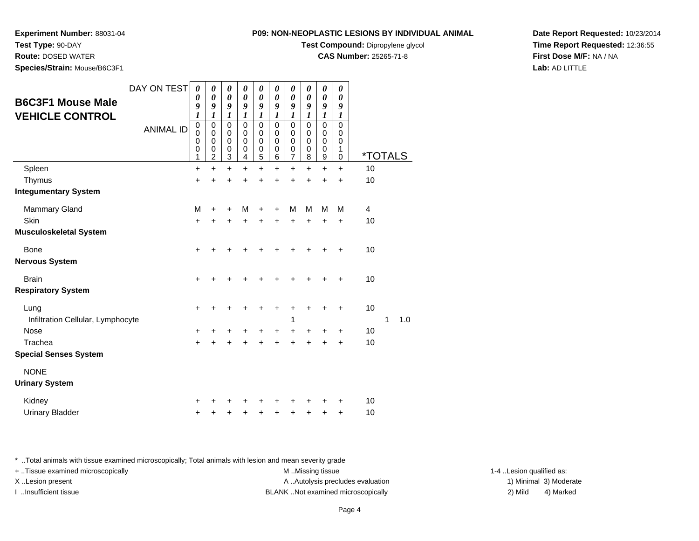**Test Compound:** Dipropylene glycol

**CAS Number:** 25265-71-8

**Date Report Requested:** 10/23/2014**Time Report Requested:** 12:36:55**First Dose M/F:** NA / NA**Lab:** AD LITTLE

4) Marked

\* ..Total animals with tissue examined microscopically; Total animals with lesion and mean severity grade

+ ..Tissue examined microscopically examined microscopically examined as:  $M$  ..Missing tissue 1-4 ..Lesion qualified as: X..Lesion present **A ..Autolysis precludes evaluation** A ..Autolysis precludes evaluation 1) Minimal 3) Moderate I ..Insufficient tissue 2) Mild and the SLANK ..Not examined microscopically and the SLANK ... Insufficient tissue

| <b>B6C3F1 Mouse Male</b>                  | DAY ON TEST      | 0<br>$\boldsymbol{\theta}$<br>9                               | $\boldsymbol{\theta}$<br>0<br>9                                       | 0<br>$\boldsymbol{\theta}$<br>$\boldsymbol{g}$                             | 0<br>0<br>9                                           | 0<br>$\boldsymbol{\theta}$<br>9             | 0<br>0<br>$\boldsymbol{g}$                               | 0<br>$\boldsymbol{\theta}$<br>$\boldsymbol{g}$                      | 0<br>0<br>$\boldsymbol{g}$                             | 0<br>$\boldsymbol{\theta}$<br>9                                       | 0<br>0<br>9                                                    |                       |              |     |
|-------------------------------------------|------------------|---------------------------------------------------------------|-----------------------------------------------------------------------|----------------------------------------------------------------------------|-------------------------------------------------------|---------------------------------------------|----------------------------------------------------------|---------------------------------------------------------------------|--------------------------------------------------------|-----------------------------------------------------------------------|----------------------------------------------------------------|-----------------------|--------------|-----|
| <b>VEHICLE CONTROL</b>                    | <b>ANIMAL ID</b> | 1<br>$\pmb{0}$<br>$\mathbf 0$<br>$\Omega$<br>$\mathbf 0$<br>1 | 1<br>$\mathbf 0$<br>0<br>$\mathbf 0$<br>$\mathbf 0$<br>$\overline{c}$ | 1<br>$\mathbf 0$<br>$\mathbf 0$<br>$\Omega$<br>$\mathbf 0$<br>$\mathbf{3}$ | 1<br>$\mathbf 0$<br>0<br>$\Omega$<br>$\mathbf 0$<br>4 | 1<br>$\mathbf 0$<br>0<br>$\Omega$<br>0<br>5 | 1<br>$\mathbf 0$<br>0<br>$\mathbf 0$<br>$\mathbf 0$<br>6 | 1<br>$\pmb{0}$<br>0<br>$\mathbf 0$<br>$\mathbf 0$<br>$\overline{7}$ | 1<br>$\mathbf 0$<br>0<br>$\mathbf 0$<br>$\pmb{0}$<br>8 | $\boldsymbol{l}$<br>$\pmb{0}$<br>0<br>$\mathbf 0$<br>$\mathbf 0$<br>9 | 1<br>$\mathbf 0$<br>0<br>$\Omega$<br>$\mathbf{1}$<br>$\pmb{0}$ | <i><b>*TOTALS</b></i> |              |     |
| Spleen                                    |                  | $\ddot{}$                                                     | $\ddot{}$                                                             | $\ddot{}$                                                                  | $\ddot{}$                                             | $\ddot{}$                                   | $\ddot{}$                                                | $\ddot{}$                                                           | $\ddot{}$                                              | $\ddot{}$                                                             | $\ddot{}$                                                      | 10                    |              |     |
| Thymus                                    |                  | $\ddot{}$                                                     | $\ddot{}$                                                             | $\ddot{}$                                                                  | ÷                                                     | $\ddot{}$                                   | $\ddot{}$                                                | $\ddot{}$                                                           | $\ddot{}$                                              | $\ddot{}$                                                             | $\ddot{}$                                                      | 10                    |              |     |
| <b>Integumentary System</b>               |                  |                                                               |                                                                       |                                                                            |                                                       |                                             |                                                          |                                                                     |                                                        |                                                                       |                                                                |                       |              |     |
| Mammary Gland                             |                  | М                                                             | $\ddot{}$                                                             | ٠                                                                          | M                                                     | +                                           | +                                                        | M                                                                   | M                                                      | M                                                                     | M                                                              | 4                     |              |     |
| Skin                                      |                  | +                                                             | +                                                                     |                                                                            | +                                                     | +                                           | +                                                        | $\ddot{}$                                                           | +                                                      | +                                                                     | +                                                              | 10                    |              |     |
| <b>Musculoskeletal System</b>             |                  |                                                               |                                                                       |                                                                            |                                                       |                                             |                                                          |                                                                     |                                                        |                                                                       |                                                                |                       |              |     |
| Bone                                      |                  | ÷                                                             |                                                                       |                                                                            |                                                       |                                             |                                                          | +                                                                   | +                                                      | ٠                                                                     | ÷                                                              | 10                    |              |     |
| <b>Nervous System</b>                     |                  |                                                               |                                                                       |                                                                            |                                                       |                                             |                                                          |                                                                     |                                                        |                                                                       |                                                                |                       |              |     |
| <b>Brain</b>                              |                  | $\ddot{}$                                                     |                                                                       |                                                                            |                                                       |                                             |                                                          | +                                                                   | +                                                      | +                                                                     | $\ddot{}$                                                      | 10                    |              |     |
| <b>Respiratory System</b>                 |                  |                                                               |                                                                       |                                                                            |                                                       |                                             |                                                          |                                                                     |                                                        |                                                                       |                                                                |                       |              |     |
| Lung<br>Infiltration Cellular, Lymphocyte |                  | $\ddot{}$                                                     |                                                                       |                                                                            |                                                       | +                                           | +                                                        | +<br>1                                                              | +                                                      | +                                                                     | $\ddot{}$                                                      | 10                    | $\mathbf{1}$ | 1.0 |
| <b>Nose</b>                               |                  | $\ddot{}$                                                     | ٠                                                                     | +                                                                          | ٠                                                     | +                                           | +                                                        | +                                                                   | +                                                      | +                                                                     | +                                                              | 10                    |              |     |
| Trachea                                   |                  | $\ddot{}$                                                     | $\ddot{}$                                                             | $\ddot{}$                                                                  |                                                       | $\ddot{}$                                   | ÷                                                        | $\ddot{}$                                                           | $\ddot{}$                                              | $\ddot{}$                                                             | $\ddot{}$                                                      | 10                    |              |     |
| <b>Special Senses System</b>              |                  |                                                               |                                                                       |                                                                            |                                                       |                                             |                                                          |                                                                     |                                                        |                                                                       |                                                                |                       |              |     |
| <b>NONE</b><br><b>Urinary System</b>      |                  |                                                               |                                                                       |                                                                            |                                                       |                                             |                                                          |                                                                     |                                                        |                                                                       |                                                                |                       |              |     |
| Kidney                                    |                  |                                                               |                                                                       |                                                                            |                                                       |                                             |                                                          |                                                                     | ٠                                                      | ٠                                                                     | +                                                              | 10                    |              |     |
| <b>Urinary Bladder</b>                    |                  | +                                                             | +                                                                     |                                                                            | +                                                     | +                                           | +                                                        | +                                                                   | +                                                      | +                                                                     | $\ddot{}$                                                      | 10                    |              |     |

## **Experiment Number:** 88031-04

**Test Type:** 90-DAY**Route:** DOSED WATER

**Species/Strain:** Mouse/B6C3F1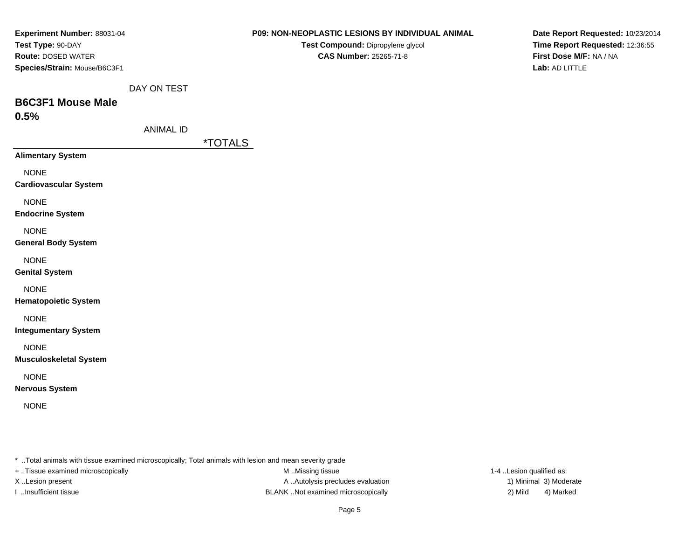| Experiment Number: 88031-04                        | P09: NON-NEOPLASTIC LESIONS BY INDIVIDUAL ANIMAL                                                        | Date Report Requested: 10/23/2014                          |
|----------------------------------------------------|---------------------------------------------------------------------------------------------------------|------------------------------------------------------------|
| Test Type: 90-DAY                                  | Test Compound: Dipropylene glycol<br><b>CAS Number: 25265-71-8</b>                                      | Time Report Requested: 12:36:55<br>First Dose M/F: NA / NA |
| Route: DOSED WATER<br>Species/Strain: Mouse/B6C3F1 |                                                                                                         | Lab: AD LITTLE                                             |
|                                                    |                                                                                                         |                                                            |
| DAY ON TEST                                        |                                                                                                         |                                                            |
| <b>B6C3F1 Mouse Male</b>                           |                                                                                                         |                                                            |
| 0.5%                                               |                                                                                                         |                                                            |
| <b>ANIMAL ID</b>                                   |                                                                                                         |                                                            |
|                                                    | <i><b>*TOTALS</b></i>                                                                                   |                                                            |
| <b>Alimentary System</b>                           |                                                                                                         |                                                            |
| <b>NONE</b>                                        |                                                                                                         |                                                            |
| <b>Cardiovascular System</b>                       |                                                                                                         |                                                            |
| <b>NONE</b>                                        |                                                                                                         |                                                            |
| <b>Endocrine System</b>                            |                                                                                                         |                                                            |
| <b>NONE</b>                                        |                                                                                                         |                                                            |
| <b>General Body System</b>                         |                                                                                                         |                                                            |
| <b>NONE</b>                                        |                                                                                                         |                                                            |
| <b>Genital System</b>                              |                                                                                                         |                                                            |
| <b>NONE</b>                                        |                                                                                                         |                                                            |
| <b>Hematopoietic System</b>                        |                                                                                                         |                                                            |
|                                                    |                                                                                                         |                                                            |
| <b>NONE</b><br><b>Integumentary System</b>         |                                                                                                         |                                                            |
|                                                    |                                                                                                         |                                                            |
| <b>NONE</b>                                        |                                                                                                         |                                                            |
| <b>Musculoskeletal System</b>                      |                                                                                                         |                                                            |
| <b>NONE</b>                                        |                                                                                                         |                                                            |
| <b>Nervous System</b>                              |                                                                                                         |                                                            |
| <b>NONE</b>                                        |                                                                                                         |                                                            |
|                                                    |                                                                                                         |                                                            |
|                                                    |                                                                                                         |                                                            |
|                                                    |                                                                                                         |                                                            |
|                                                    | * Total animals with tissue examined microscopically; Total animals with lesion and mean severity grade |                                                            |

+ ..Tissue examined microscopically **M** ..Missing tissue

X..Lesion present **A ..Autolysis precludes evaluation** A ..Autolysis precludes evaluation 1) Minimal 3) Moderate I ..Insufficient tissue BLANK ..Not examined microscopically 2) Mild 4) Marked

1-4 ..Lesion qualified as: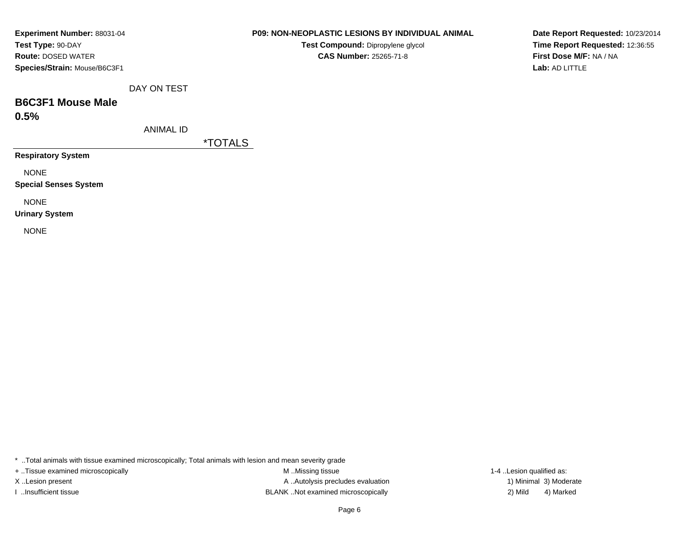| Experiment Number: 88031-04  |  |  |  |  |  |  |  |  |  |
|------------------------------|--|--|--|--|--|--|--|--|--|
| Test Type: 90-DAY            |  |  |  |  |  |  |  |  |  |
| <b>Route: DOSED WATER</b>    |  |  |  |  |  |  |  |  |  |
| Species/Strain: Mouse/B6C3F1 |  |  |  |  |  |  |  |  |  |

**Test Compound:** Dipropylene glycol **CAS Number:** 25265-71-8

**Date Report Requested:** 10/23/2014**Time Report Requested:** 12:36:55**First Dose M/F:** NA / NA**Lab:** AD LITTLE

DAY ON TEST

## **B6C3F1 Mouse Male0.5%**

ANIMAL ID

\*TOTALS

**Respiratory System**

NONE

**Special Senses System**

NONE

**Urinary System**

NONE

\* ..Total animals with tissue examined microscopically; Total animals with lesion and mean severity grade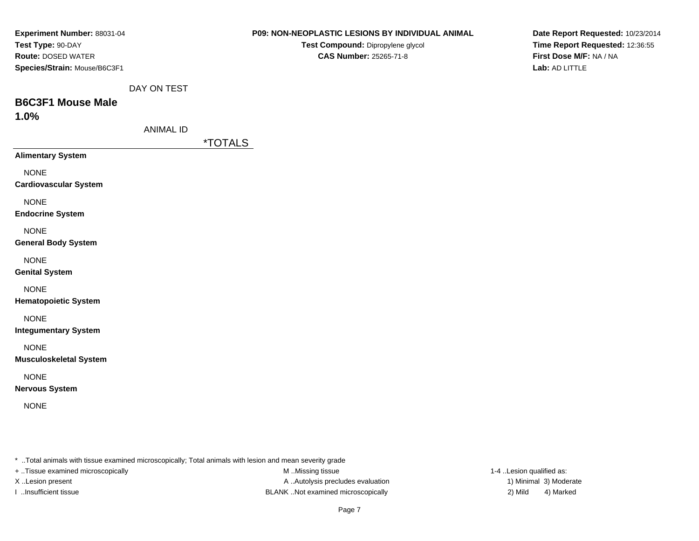| Experiment Number: 88031-04                                                    |                  | P09: NON-NEOPLASTIC LESIONS BY INDIVIDUAL ANIMAL                                                        | Date Report Requested: 10/23/2014                                            |
|--------------------------------------------------------------------------------|------------------|---------------------------------------------------------------------------------------------------------|------------------------------------------------------------------------------|
| Test Type: 90-DAY<br><b>Route: DOSED WATER</b><br>Species/Strain: Mouse/B6C3F1 |                  | Test Compound: Dipropylene glycol<br><b>CAS Number: 25265-71-8</b>                                      | Time Report Requested: 12:36:55<br>First Dose M/F: NA / NA<br>Lab: AD LITTLE |
|                                                                                | DAY ON TEST      |                                                                                                         |                                                                              |
| <b>B6C3F1 Mouse Male</b>                                                       |                  |                                                                                                         |                                                                              |
| 1.0%                                                                           |                  |                                                                                                         |                                                                              |
|                                                                                | <b>ANIMAL ID</b> |                                                                                                         |                                                                              |
|                                                                                |                  | <i><b>*TOTALS</b></i>                                                                                   |                                                                              |
| <b>Alimentary System</b>                                                       |                  |                                                                                                         |                                                                              |
| <b>NONE</b><br><b>Cardiovascular System</b>                                    |                  |                                                                                                         |                                                                              |
| <b>NONE</b><br><b>Endocrine System</b>                                         |                  |                                                                                                         |                                                                              |
| <b>NONE</b><br><b>General Body System</b>                                      |                  |                                                                                                         |                                                                              |
| <b>NONE</b><br><b>Genital System</b>                                           |                  |                                                                                                         |                                                                              |
| <b>NONE</b><br><b>Hematopoietic System</b>                                     |                  |                                                                                                         |                                                                              |
| <b>NONE</b><br><b>Integumentary System</b>                                     |                  |                                                                                                         |                                                                              |
| <b>NONE</b><br><b>Musculoskeletal System</b>                                   |                  |                                                                                                         |                                                                              |
| <b>NONE</b><br><b>Nervous System</b>                                           |                  |                                                                                                         |                                                                              |
| <b>NONE</b>                                                                    |                  |                                                                                                         |                                                                              |
|                                                                                |                  |                                                                                                         |                                                                              |
|                                                                                |                  | * Total animals with tissue examined microscopically: Total animals with losion and mean soverity grade |                                                                              |

+ ..Tissue examined microscopically

M ..Missing tissue X..Lesion present **A ..Autolysis precludes evaluation** A ..Autolysis precludes evaluation 1) Minimal 3) Moderate I ..Insufficient tissue BLANK ..Not examined microscopically 2) Mild 4) Marked

1-4 ..Lesion qualified as: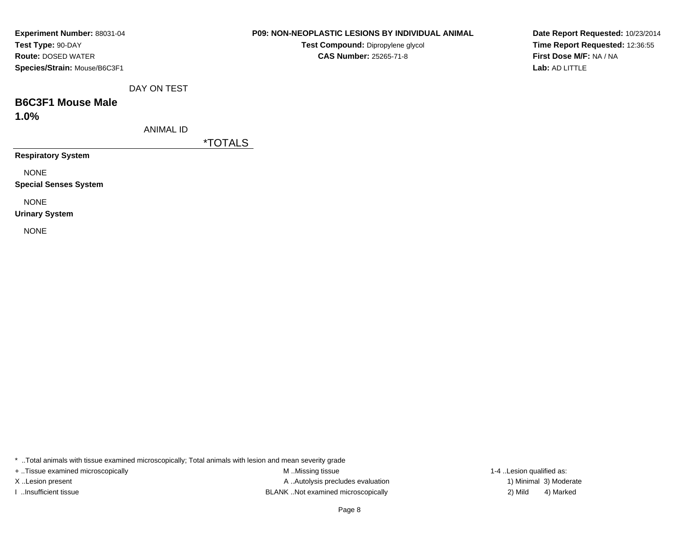| Experiment Number: 88031-04  |  |  |  |  |  |  |  |  |  |
|------------------------------|--|--|--|--|--|--|--|--|--|
| Test Type: 90-DAY            |  |  |  |  |  |  |  |  |  |
| <b>Route: DOSED WATER</b>    |  |  |  |  |  |  |  |  |  |
| Species/Strain: Mouse/B6C3F1 |  |  |  |  |  |  |  |  |  |

**Test Compound:** Dipropylene glycol **CAS Number:** 25265-71-8

**Date Report Requested:** 10/23/2014**Time Report Requested:** 12:36:55**First Dose M/F:** NA / NA**Lab:** AD LITTLE

DAY ON TEST

## **B6C3F1 Mouse Male**

**1.0%**

ANIMAL ID

\*TOTALS

**Respiratory System**

NONE

**Special Senses System**

NONE

**Urinary System**

NONE

\* ..Total animals with tissue examined microscopically; Total animals with lesion and mean severity grade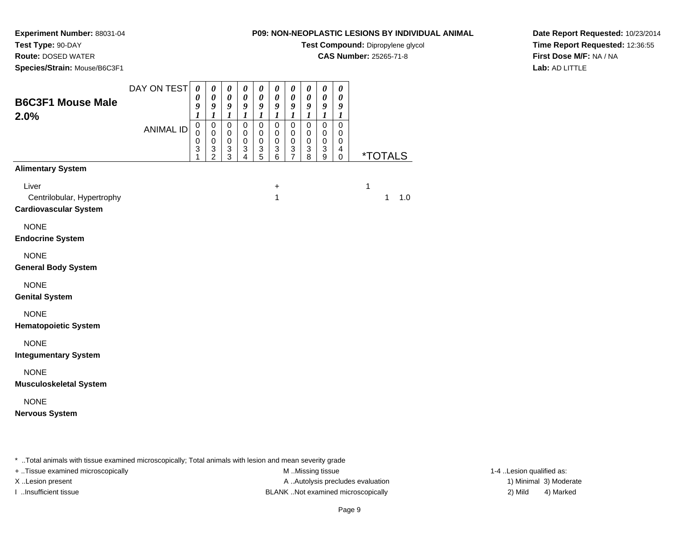## **Test Type:** 90-DAY

**Route:** DOSED WATER

**Species/Strain:** Mouse/B6C3F1

## **P09: NON-NEOPLASTIC LESIONS BY INDIVIDUAL ANIMAL**

**Test Compound:** Dipropylene glycol

**CAS Number:** 25265-71-8

**Date Report Requested:** 10/23/2014**Time Report Requested:** 12:36:55**First Dose M/F:** NA / NA**Lab:** AD LITTLE

| <b>B6C3F1 Mouse Male</b><br>2.0%                                    | DAY ON TEST      | $\boldsymbol{\theta}$<br>0<br>9<br>1      | 0<br>$\boldsymbol{\theta}$<br>9<br>$\boldsymbol{l}$           | 0<br>$\pmb{\theta}$<br>9<br>$\boldsymbol{l}$                    | 0<br>$\boldsymbol{\theta}$<br>9<br>$\boldsymbol{l}$ | 0<br>$\pmb{\theta}$<br>9<br>$\boldsymbol{l}$                  | 0<br>$\boldsymbol{\theta}$<br>9<br>$\boldsymbol{l}$               | 0<br>$\boldsymbol{\theta}$<br>9<br>$\boldsymbol{l}$                | $\pmb{\theta}$<br>$\boldsymbol{\theta}$<br>9<br>$\boldsymbol{l}$ | 0<br>$\boldsymbol{\theta}$<br>9<br>$\boldsymbol{l}$             | 0<br>$\boldsymbol{\theta}$<br>9<br>$\boldsymbol{l}$ |   |   |                       |
|---------------------------------------------------------------------|------------------|-------------------------------------------|---------------------------------------------------------------|-----------------------------------------------------------------|-----------------------------------------------------|---------------------------------------------------------------|-------------------------------------------------------------------|--------------------------------------------------------------------|------------------------------------------------------------------|-----------------------------------------------------------------|-----------------------------------------------------|---|---|-----------------------|
|                                                                     | <b>ANIMAL ID</b> | $\mathbf 0$<br>0<br>$\mathbf 0$<br>3<br>1 | $\pmb{0}$<br>0<br>$\pmb{0}$<br>$\ensuremath{\mathsf{3}}$<br>2 | $\mathsf 0$<br>0<br>$\pmb{0}$<br>$\ensuremath{\mathsf{3}}$<br>3 | $\pmb{0}$<br>0<br>$\pmb{0}$<br>3<br>4               | $\pmb{0}$<br>0<br>$\pmb{0}$<br>$\ensuremath{\mathsf{3}}$<br>5 | $\mathbf 0$<br>$\mathbf 0$<br>0<br>$\ensuremath{\mathsf{3}}$<br>6 | $\pmb{0}$<br>0<br>0<br>$\ensuremath{\mathsf{3}}$<br>$\overline{7}$ | $\mathbf 0$<br>0<br>0<br>3<br>8                                  | $\mathbf 0$<br>0<br>$\pmb{0}$<br>$\ensuremath{\mathsf{3}}$<br>9 | $\pmb{0}$<br>0<br>0<br>$\overline{4}$<br>0          |   |   | <i><b>*TOTALS</b></i> |
| <b>Alimentary System</b>                                            |                  |                                           |                                                               |                                                                 |                                                     |                                                               |                                                                   |                                                                    |                                                                  |                                                                 |                                                     |   |   |                       |
| Liver<br>Centrilobular, Hypertrophy<br><b>Cardiovascular System</b> |                  |                                           |                                                               |                                                                 |                                                     |                                                               | $\ddot{}$<br>1                                                    |                                                                    |                                                                  |                                                                 |                                                     | 1 | 1 | 1.0                   |
| <b>NONE</b><br><b>Endocrine System</b>                              |                  |                                           |                                                               |                                                                 |                                                     |                                                               |                                                                   |                                                                    |                                                                  |                                                                 |                                                     |   |   |                       |
| <b>NONE</b><br><b>General Body System</b>                           |                  |                                           |                                                               |                                                                 |                                                     |                                                               |                                                                   |                                                                    |                                                                  |                                                                 |                                                     |   |   |                       |
| <b>NONE</b><br><b>Genital System</b>                                |                  |                                           |                                                               |                                                                 |                                                     |                                                               |                                                                   |                                                                    |                                                                  |                                                                 |                                                     |   |   |                       |
| <b>NONE</b><br><b>Hematopoietic System</b>                          |                  |                                           |                                                               |                                                                 |                                                     |                                                               |                                                                   |                                                                    |                                                                  |                                                                 |                                                     |   |   |                       |
| <b>NONE</b><br><b>Integumentary System</b>                          |                  |                                           |                                                               |                                                                 |                                                     |                                                               |                                                                   |                                                                    |                                                                  |                                                                 |                                                     |   |   |                       |
| <b>NONE</b><br><b>Musculoskeletal System</b>                        |                  |                                           |                                                               |                                                                 |                                                     |                                                               |                                                                   |                                                                    |                                                                  |                                                                 |                                                     |   |   |                       |
| <b>NONE</b><br><b>Nervous System</b>                                |                  |                                           |                                                               |                                                                 |                                                     |                                                               |                                                                   |                                                                    |                                                                  |                                                                 |                                                     |   |   |                       |
|                                                                     |                  |                                           |                                                               |                                                                 |                                                     |                                                               |                                                                   |                                                                    |                                                                  |                                                                 |                                                     |   |   |                       |

\* ..Total animals with tissue examined microscopically; Total animals with lesion and mean severity grade

+ ..Tissue examined microscopically M ...Missing tissue 1-4 ... M ...Missing tissue

X..Lesion present **A ..Autolysis precludes evaluation** A ..Autolysis precludes evaluation 1) Minimal 3) Moderate I ..Insufficient tissue BLANK ..Not examined microscopically 2) Mild 4) Marked

1-4 ..Lesion qualified as: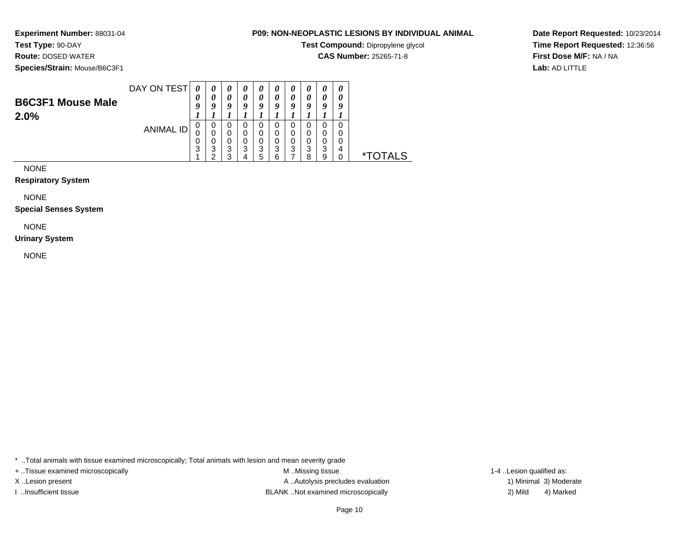## **Test Type:** 90-DAY

**Route:** DOSED WATER

**Species/Strain:** Mouse/B6C3F1

## **P09: NON-NEOPLASTIC LESIONS BY INDIVIDUAL ANIMAL**

**Test Compound:** Dipropylene glycol

**CAS Number:** 25265-71-8

**Date Report Requested:** 10/23/2014**Time Report Requested:** 12:36:56**First Dose M/F:** NA / NA**Lab:** AD LITTLE

| <b>B6C3F1 Mouse Male</b> | DAY ON TEST | 0<br>U<br>Q |        | U<br>0      | v | U<br>$\boldsymbol{\theta}$<br>$\boldsymbol{0}$ | U<br>U | U<br>$\boldsymbol{\theta}$<br>Q | U<br>Q      | $\boldsymbol{\theta}$<br>0<br>O | 0 |              |
|--------------------------|-------------|-------------|--------|-------------|---|------------------------------------------------|--------|---------------------------------|-------------|---------------------------------|---|--------------|
| 2.0%                     | ANIMAL ID   | υ           | υ      | U           |   |                                                |        | U                               | 0<br>0      | 0<br>0                          |   |              |
|                          |             | U<br>υ<br>3 | 3<br>ົ | 0<br>3<br>◠ | 3 | 3<br>ς                                         | 3<br>൳ | 0<br>3                          | 0<br>3<br>я | 0<br>3<br>a                     | 4 | OTAL S<br>∗⊤ |

NONE

#### **Respiratory System**

NONE

### **Special Senses System**

NONE

#### **Urinary System**

NONE

\* ..Total animals with tissue examined microscopically; Total animals with lesion and mean severity grade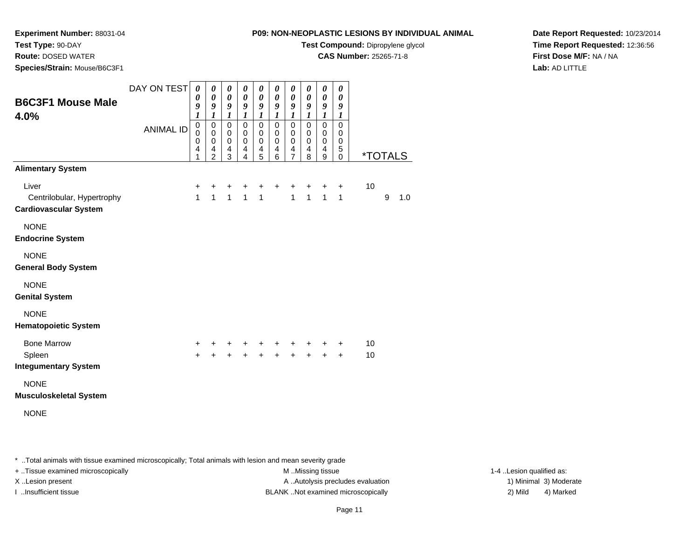## **Test Type:** 90-DAY

**Route:** DOSED WATER

**Species/Strain:** Mouse/B6C3F1

## **P09: NON-NEOPLASTIC LESIONS BY INDIVIDUAL ANIMAL**

**Test Compound:** Dipropylene glycol

**CAS Number:** 25265-71-8

**Date Report Requested:** 10/23/2014**Time Report Requested:** 12:36:56**First Dose M/F:** NA / NA**Lab:** AD LITTLE

| <b>B6C3F1 Mouse Male</b><br>4.0%                                    | DAY ON TEST<br><b>ANIMAL ID</b> | 0<br>0<br>9<br>$\boldsymbol{l}$<br>0<br>0<br>0<br>4 | 0<br>$\boldsymbol{\theta}$<br>9<br>$\boldsymbol{l}$<br>$\mathbf 0$<br>0<br>$\pmb{0}$<br>$\overline{\mathbf{4}}$ | 0<br>0<br>9<br>$\boldsymbol{l}$<br>$\mathbf 0$<br>0<br>$\pmb{0}$<br>4 | 0<br>$\boldsymbol{\theta}$<br>9<br>1<br>0<br>0<br>0<br>4 | 0<br>0<br>9<br>$\boldsymbol{l}$<br>$\mathbf 0$<br>0<br>$\mathbf 0$<br>4 | 0<br>$\boldsymbol{\theta}$<br>9<br>$\boldsymbol{l}$<br>$\mathbf 0$<br>0<br>$\pmb{0}$<br>4 | 0<br>$\boldsymbol{\theta}$<br>9<br>$\boldsymbol{l}$<br>$\mathbf 0$<br>0<br>$\pmb{0}$<br>4 | 0<br>$\boldsymbol{\theta}$<br>9<br>$\boldsymbol{l}$<br>$\mathbf 0$<br>0<br>$\pmb{0}$<br>4 | 0<br>$\boldsymbol{\theta}$<br>9<br>$\boldsymbol{l}$<br>$\mathbf 0$<br>0<br>$\mathbf 0$<br>4 | 0<br>$\boldsymbol{\theta}$<br>9<br>$\boldsymbol{l}$<br>$\mathbf 0$<br>0<br>$\pmb{0}$<br>$\overline{5}$ |                       |   |     |
|---------------------------------------------------------------------|---------------------------------|-----------------------------------------------------|-----------------------------------------------------------------------------------------------------------------|-----------------------------------------------------------------------|----------------------------------------------------------|-------------------------------------------------------------------------|-------------------------------------------------------------------------------------------|-------------------------------------------------------------------------------------------|-------------------------------------------------------------------------------------------|---------------------------------------------------------------------------------------------|--------------------------------------------------------------------------------------------------------|-----------------------|---|-----|
| <b>Alimentary System</b>                                            |                                 | 1                                                   | $\overline{2}$                                                                                                  | 3                                                                     | 4                                                        | 5                                                                       | 6                                                                                         | $\overline{7}$                                                                            | 8                                                                                         | 9                                                                                           | $\mathbf 0$                                                                                            | <i><b>*TOTALS</b></i> |   |     |
| Liver<br>Centrilobular, Hypertrophy<br><b>Cardiovascular System</b> |                                 | +<br>$\mathbf{1}$                                   | +<br>$\overline{1}$                                                                                             | +<br>$\overline{1}$                                                   | +<br>$\overline{1}$                                      | $\ddot{}$<br>$\overline{1}$                                             | $\ddot{}$                                                                                 | +<br>$\mathbf{1}$                                                                         | +<br>$\overline{1}$                                                                       | +<br>$\overline{1}$                                                                         | $\ddot{}$<br>$\mathbf{1}$                                                                              | 10                    | 9 | 1.0 |
| <b>NONE</b><br><b>Endocrine System</b>                              |                                 |                                                     |                                                                                                                 |                                                                       |                                                          |                                                                         |                                                                                           |                                                                                           |                                                                                           |                                                                                             |                                                                                                        |                       |   |     |
| <b>NONE</b><br><b>General Body System</b>                           |                                 |                                                     |                                                                                                                 |                                                                       |                                                          |                                                                         |                                                                                           |                                                                                           |                                                                                           |                                                                                             |                                                                                                        |                       |   |     |
| <b>NONE</b><br><b>Genital System</b>                                |                                 |                                                     |                                                                                                                 |                                                                       |                                                          |                                                                         |                                                                                           |                                                                                           |                                                                                           |                                                                                             |                                                                                                        |                       |   |     |
| <b>NONE</b><br><b>Hematopoietic System</b>                          |                                 |                                                     |                                                                                                                 |                                                                       |                                                          |                                                                         |                                                                                           |                                                                                           |                                                                                           |                                                                                             |                                                                                                        |                       |   |     |
| <b>Bone Marrow</b><br>Spleen<br><b>Integumentary System</b>         |                                 | +<br>$\ddot{}$                                      | +<br>$\ddot{}$                                                                                                  | +<br>$\ddot{}$                                                        | +<br>$\ddot{}$                                           | +<br>$\ddot{}$                                                          | +<br>$+$                                                                                  | +<br>$\ddot{}$                                                                            | +<br>$\ddot{}$                                                                            | $\ddot{}$                                                                                   | +<br>$\ddot{}$                                                                                         | 10<br>10              |   |     |
| <b>NONE</b><br><b>Musculoskeletal System</b>                        |                                 |                                                     |                                                                                                                 |                                                                       |                                                          |                                                                         |                                                                                           |                                                                                           |                                                                                           |                                                                                             |                                                                                                        |                       |   |     |
| <b>NONE</b>                                                         |                                 |                                                     |                                                                                                                 |                                                                       |                                                          |                                                                         |                                                                                           |                                                                                           |                                                                                           |                                                                                             |                                                                                                        |                       |   |     |

\* ..Total animals with tissue examined microscopically; Total animals with lesion and mean severity grade

+ ..Tissue examined microscopically M ...Missing tissue 1-4 ... M ...Missing tissue

X..Lesion present **A ..Autolysis precludes evaluation** A ..Autolysis precludes evaluation 1) Minimal 3) Moderate I ..Insufficient tissue BLANK ..Not examined microscopically 2) Mild 4) Marked

1-4 ..Lesion qualified as: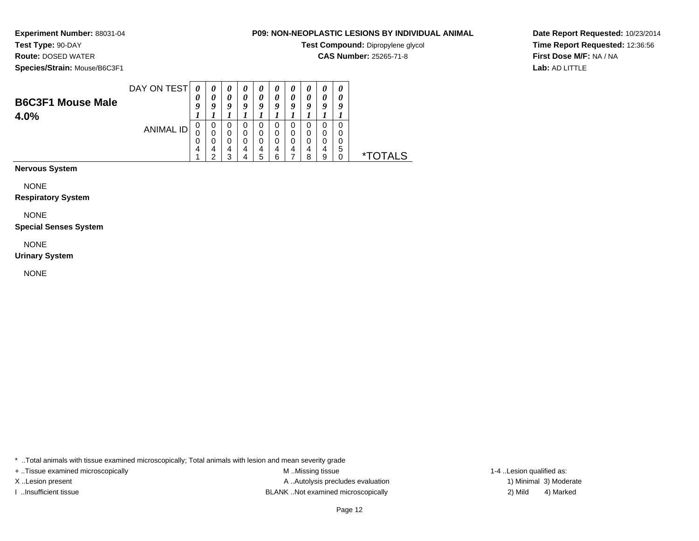## **Test Type:** 90-DAY

**Route:** DOSED WATER

**Species/Strain:** Mouse/B6C3F1

## **P09: NON-NEOPLASTIC LESIONS BY INDIVIDUAL ANIMAL**

**Test Compound:** Dipropylene glycol

**CAS Number:** 25265-71-8

**Date Report Requested:** 10/23/2014**Time Report Requested:** 12:36:56**First Dose M/F:** NA / NA**Lab:** AD LITTLE

| <b>B6C3F1 Mouse Male</b><br>4.0% | DAY ON TEST | 0<br>υ           | $\boldsymbol{\theta}$<br>a | $\boldsymbol{\theta}$<br>Q | o      | $\boldsymbol{\theta}$<br>O |          | U      | U | $\theta$<br>0<br>o | U |    |
|----------------------------------|-------------|------------------|----------------------------|----------------------------|--------|----------------------------|----------|--------|---|--------------------|---|----|
|                                  | ANIMAL ID   | υ<br>u<br>U<br>4 | 0<br>0<br>0<br>4<br>◠      | 0<br>0<br>0<br>4<br>◠      | υ<br>4 | υ<br>0<br>0<br>4<br>5      | 4<br>ี่ค | υ<br>4 | 4 | 0<br>0<br>4<br>a   | 5 | ∗⊤ |

**Nervous System**

NONE

**Respiratory System**

NONE

**Special Senses System**

NONE

**Urinary System**

NONE

\* ..Total animals with tissue examined microscopically; Total animals with lesion and mean severity grade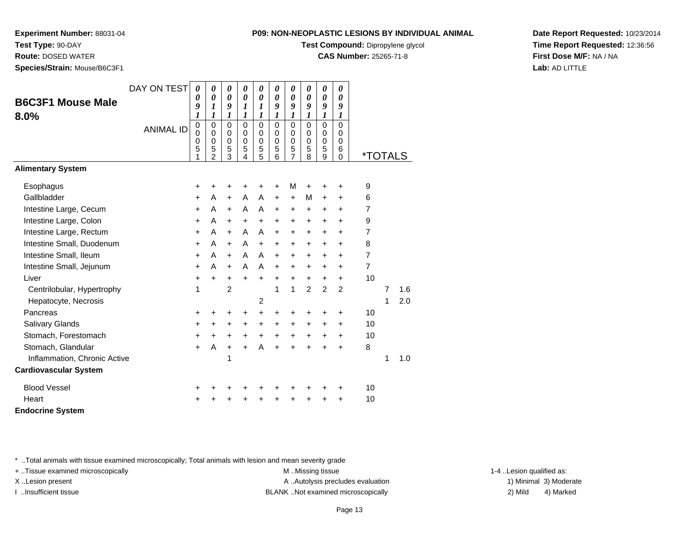**Test Type:** 90-DAY

**Route:** DOSED WATER

**Species/Strain:** Mouse/B6C3F1

## **P09: NON-NEOPLASTIC LESIONS BY INDIVIDUAL ANIMAL**

**Test Compound:** Dipropylene glycol

**CAS Number:** 25265-71-8

**Date Report Requested:** 10/23/2014**Time Report Requested:** 12:36:56**First Dose M/F:** NA / NA**Lab:** AD LITTLE

|                              | DAY ON TEST      | $\boldsymbol{\theta}$      | $\boldsymbol{\theta}$      | 0                       | 0                    | 0                 | 0                | 0                   | 0                          | $\boldsymbol{\theta}$                     | 0              |                       |                |     |  |
|------------------------------|------------------|----------------------------|----------------------------|-------------------------|----------------------|-------------------|------------------|---------------------|----------------------------|-------------------------------------------|----------------|-----------------------|----------------|-----|--|
| <b>B6C3F1 Mouse Male</b>     |                  | 0<br>9                     | $\boldsymbol{\theta}$<br>1 | 0<br>9                  | 0<br>1               | 0<br>1            | 0<br>9           | 0<br>9              | 0<br>$\boldsymbol{g}$      | $\boldsymbol{\theta}$<br>$\boldsymbol{g}$ | 0<br>9         |                       |                |     |  |
| 8.0%                         |                  | 1                          | 1                          | 1                       | 1                    | 1                 | 1                | 1                   | 1                          | 1                                         | 1              |                       |                |     |  |
|                              | <b>ANIMAL ID</b> | $\mathbf 0$<br>$\mathbf 0$ | $\mathbf 0$<br>0           | $\Omega$<br>$\mathbf 0$ | $\Omega$<br>$\Omega$ | $\mathbf{0}$<br>0 | $\mathbf 0$<br>0 | $\mathbf 0$<br>0    | $\mathbf 0$<br>$\mathbf 0$ | $\Omega$<br>0                             | $\Omega$<br>0  |                       |                |     |  |
|                              |                  | 0                          | 0                          | 0                       | $\Omega$             | 0                 | 0<br>5           | 0                   | $\mathbf 0$<br>5           | $\mathbf 0$                               | 0              |                       |                |     |  |
|                              |                  | 5<br>1                     | 5<br>$\mathfrak{p}$        | 5<br>3                  | 5<br>4               | 5<br>5            | 6                | 5<br>$\overline{7}$ | 8                          | 5<br>9                                    | 6<br>0         | <i><b>*TOTALS</b></i> |                |     |  |
| <b>Alimentary System</b>     |                  |                            |                            |                         |                      |                   |                  |                     |                            |                                           |                |                       |                |     |  |
| Esophagus                    |                  | +                          | +                          | +                       | +                    | +                 | +                | M                   | $\ddot{}$                  | +                                         | +              | 9                     |                |     |  |
| Gallbladder                  |                  | +                          | A                          | $+$                     | A                    | A                 | $\ddot{}$        | $\ddot{}$           | M                          | $\ddot{}$                                 | +              | 6                     |                |     |  |
| Intestine Large, Cecum       |                  | +                          | A                          | $+$                     | A                    | A                 | $\ddot{}$        | +                   | +                          | +                                         | +              | 7                     |                |     |  |
| Intestine Large, Colon       |                  | $\ddot{}$                  | A                          | $+$                     | $\ddot{}$            | $\ddot{}$         | $\ddot{}$        | $\ddot{}$           | $\ddot{}$                  | $\ddot{}$                                 | $\pm$          | 9                     |                |     |  |
| Intestine Large, Rectum      |                  | +                          | A                          | $+$                     | A                    | A                 | $\ddot{}$        | +                   | +                          | $\ddot{}$                                 | +              | 7                     |                |     |  |
| Intestine Small, Duodenum    |                  | +                          | A                          | $+$                     | A                    | $\ddot{}$         | $\ddot{}$        | +                   | +                          | $\ddot{}$                                 | +              | 8                     |                |     |  |
| Intestine Small, Ileum       |                  | $\div$                     | A                          | $+$                     | A                    | A                 | $\ddot{}$        | $\ddot{}$           | $\ddot{}$                  | $\ddot{}$                                 | $\ddot{}$      | 7                     |                |     |  |
| Intestine Small, Jejunum     |                  | $\ddot{}$                  | A                          | $+$                     | A                    | A                 | $\ddot{}$        | +                   | $\ddot{}$                  | $\ddot{}$                                 | +              | $\overline{7}$        |                |     |  |
| Liver                        |                  | +                          | $+$                        | $+$                     | $\ddot{}$            | +                 | $\ddot{}$        | $\ddot{}$           | $\ddot{}$                  | $\ddot{}$                                 | $\ddot{}$      | 10                    |                |     |  |
| Centrilobular, Hypertrophy   |                  | 1                          |                            | $\overline{2}$          |                      |                   | 1                | 1                   | $\overline{2}$             | 2                                         | $\overline{2}$ |                       | $\overline{7}$ | 1.6 |  |
| Hepatocyte, Necrosis         |                  |                            |                            |                         |                      | 2                 |                  |                     |                            |                                           |                |                       | 1              | 2.0 |  |
| Pancreas                     |                  | +                          | +                          | $\pm$                   | +                    | $\ddot{}$         | $\ddot{}$        | +                   | +                          | +                                         | +              | 10                    |                |     |  |
| Salivary Glands              |                  | +                          | $\ddot{}$                  | $\pm$                   | $\ddot{}$            | $\ddot{}$         | $\ddot{}$        | +                   | $\ddot{}$                  | $\ddot{}$                                 | +              | 10                    |                |     |  |
| Stomach, Forestomach         |                  | $\ddot{}$                  | $+$                        | $+$                     | $\ddot{}$            | $+$               | $\ddot{}$        | $\ddot{}$           | $\ddot{}$                  | $\ddot{}$                                 | $\pm$          | 10                    |                |     |  |
| Stomach, Glandular           |                  | $\ddot{}$                  | A                          | $+$                     | $\ddot{}$            | A                 | $\ddot{}$        | $\ddot{}$           | $\ddot{}$                  | $\ddot{}$                                 | $\ddot{}$      | 8                     |                |     |  |
| Inflammation, Chronic Active |                  |                            |                            | 1                       |                      |                   |                  |                     |                            |                                           |                |                       | 1              | 1.0 |  |
| <b>Cardiovascular System</b> |                  |                            |                            |                         |                      |                   |                  |                     |                            |                                           |                |                       |                |     |  |
| <b>Blood Vessel</b>          |                  | +                          |                            |                         |                      |                   |                  |                     | +                          |                                           | +              | 10                    |                |     |  |
| Heart                        |                  | +                          |                            | +                       |                      | +                 | +                | +                   | ٠                          | +                                         | +              | 10                    |                |     |  |
| <b>Endocrine System</b>      |                  |                            |                            |                         |                      |                   |                  |                     |                            |                                           |                |                       |                |     |  |

\* ..Total animals with tissue examined microscopically; Total animals with lesion and mean severity grade

+ ..Tissue examined microscopically examined microscopically examined as:  $M$  ..Missing tissue 1-4 ..Lesion qualified as: X..Lesion present **A ..Autolysis precludes evaluation** A ..Autolysis precludes evaluation 1) Minimal 3) Moderate

I ..Insufficient tissue BLANK ..Not examined microscopically 2) Mild 4) Marked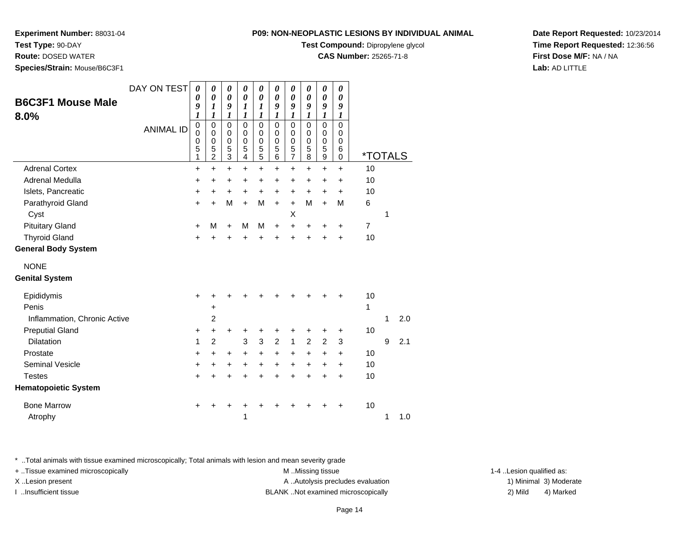**Test Type:** 90-DAY

**Route:** DOSED WATER

**Species/Strain:** Mouse/B6C3F1

## **P09: NON-NEOPLASTIC LESIONS BY INDIVIDUAL ANIMAL**

**Test Compound:** Dipropylene glycol

**CAS Number:** 25265-71-8

**Date Report Requested:** 10/23/2014**Time Report Requested:** 12:36:56**First Dose M/F:** NA / NA**Lab:** AD LITTLE

|                              | DAY ON TEST      | $\boldsymbol{\theta}$<br>0                   | 0<br>0                                                      | 0<br>$\boldsymbol{\theta}$                     | $\boldsymbol{\theta}$<br>$\boldsymbol{\theta}$        | $\boldsymbol{\theta}$<br>$\boldsymbol{\theta}$ | 0<br>0                                         | $\boldsymbol{\theta}$<br>0                        | 0<br>0                               | $\pmb{\theta}$<br>0                                 | 0<br>0                               |                       |   |     |
|------------------------------|------------------|----------------------------------------------|-------------------------------------------------------------|------------------------------------------------|-------------------------------------------------------|------------------------------------------------|------------------------------------------------|---------------------------------------------------|--------------------------------------|-----------------------------------------------------|--------------------------------------|-----------------------|---|-----|
| <b>B6C3F1 Mouse Male</b>     |                  | 9                                            | 1                                                           | 9                                              | 1                                                     | 1                                              | 9                                              | 9                                                 | 9                                    | 9                                                   | 9                                    |                       |   |     |
| 8.0%                         | <b>ANIMAL ID</b> | 1<br>$\pmb{0}$<br>$\mathbf 0$<br>0<br>5<br>1 | 1<br>$\mathbf 0$<br>0<br>$\mathbf 0$<br>5<br>$\overline{c}$ | 1<br>$\mathbf 0$<br>0<br>$\mathbf 0$<br>5<br>3 | 1<br>$\mathbf 0$<br>$\Omega$<br>$\mathbf 0$<br>5<br>4 | 1<br>$\mathbf 0$<br>0<br>$\mathbf 0$<br>5<br>5 | 1<br>$\mathbf 0$<br>0<br>$\mathbf 0$<br>5<br>6 | 1<br>$\mathbf 0$<br>0<br>0<br>5<br>$\overline{7}$ | 1<br>$\mathbf 0$<br>0<br>0<br>5<br>8 | 1<br>$\mathbf 0$<br>0<br>0<br>5<br>$\boldsymbol{9}$ | 1<br>0<br>0<br>$\mathbf 0$<br>6<br>0 | <i><b>*TOTALS</b></i> |   |     |
| <b>Adrenal Cortex</b>        |                  | +                                            | +                                                           | $\ddot{}$                                      | +                                                     | $\ddot{}$                                      | +                                              | $\ddot{}$                                         | +                                    | $\ddot{}$                                           | +                                    | 10                    |   |     |
| Adrenal Medulla              |                  | $\ddot{}$                                    | $\ddot{}$                                                   | $\ddot{}$                                      | $\ddot{}$                                             | $\ddot{}$                                      | $\ddot{}$                                      | $\ddot{}$                                         | $\ddot{}$                            | $\ddot{}$                                           | $\ddot{}$                            | 10                    |   |     |
| Islets, Pancreatic           |                  | +                                            | $\ddot{}$                                                   | $\ddot{}$                                      | $\ddot{}$                                             | $\ddot{}$                                      | $+$                                            | $\ddot{}$                                         | $\ddot{}$                            | $\ddot{}$                                           | $\ddot{}$                            | 10                    |   |     |
| Parathyroid Gland            |                  | $\ddot{}$                                    | $\ddot{}$                                                   | M                                              | $\ddot{}$                                             | M                                              | $\ddot{}$                                      | $\ddot{}$                                         | M                                    | $\ddot{}$                                           | M                                    | 6                     |   |     |
| Cyst                         |                  |                                              |                                                             |                                                |                                                       |                                                |                                                | X                                                 |                                      |                                                     |                                      |                       | 1 |     |
| <b>Pituitary Gland</b>       |                  | $\ddot{}$                                    | м                                                           | $\ddot{}$                                      | М                                                     | M                                              | $\ddot{}$                                      | $\ddot{}$                                         | +                                    | +                                                   | $\ddot{}$                            | $\overline{7}$        |   |     |
| <b>Thyroid Gland</b>         |                  | $\ddot{}$                                    | $\ddot{}$                                                   | $\ddot{}$                                      | $\ddot{}$                                             | $\ddot{}$                                      | $\ddot{}$                                      | $\ddot{}$                                         | $\ddot{}$                            | $\ddot{}$                                           | $\ddot{}$                            | 10                    |   |     |
| <b>General Body System</b>   |                  |                                              |                                                             |                                                |                                                       |                                                |                                                |                                                   |                                      |                                                     |                                      |                       |   |     |
| <b>NONE</b>                  |                  |                                              |                                                             |                                                |                                                       |                                                |                                                |                                                   |                                      |                                                     |                                      |                       |   |     |
| <b>Genital System</b>        |                  |                                              |                                                             |                                                |                                                       |                                                |                                                |                                                   |                                      |                                                     |                                      |                       |   |     |
| Epididymis                   |                  | +                                            |                                                             |                                                |                                                       |                                                |                                                |                                                   |                                      |                                                     |                                      | 10                    |   |     |
| Penis                        |                  |                                              | +                                                           |                                                |                                                       |                                                |                                                |                                                   |                                      |                                                     |                                      | 1                     |   |     |
| Inflammation, Chronic Active |                  |                                              | 2                                                           |                                                |                                                       |                                                |                                                |                                                   |                                      |                                                     |                                      |                       | 1 | 2.0 |
| <b>Preputial Gland</b>       |                  | +                                            | $\ddot{}$                                                   | +                                              | +                                                     | +                                              | +                                              | +                                                 | +                                    | +                                                   | +                                    | 10                    |   |     |
| <b>Dilatation</b>            |                  | 1                                            | $\overline{2}$                                              |                                                | 3                                                     | 3                                              | $\overline{2}$                                 | $\mathbf{1}$                                      | $\overline{2}$                       | $\overline{2}$                                      | 3                                    |                       | 9 | 2.1 |
| Prostate                     |                  | $\ddot{}$                                    | $\ddot{}$                                                   | +                                              | $\ddot{}$                                             | $\ddot{}$                                      | $+$                                            | $\ddot{}$                                         | $+$                                  | $\ddot{}$                                           | $\ddot{}$                            | 10                    |   |     |
| <b>Seminal Vesicle</b>       |                  | +                                            | $\ddot{}$                                                   | $\ddot{}$                                      | $\ddot{}$                                             | $\ddot{}$                                      | $+$                                            | $\ddot{}$                                         | $+$                                  | $+$                                                 | $\ddot{}$                            | 10                    |   |     |
| <b>Testes</b>                |                  | $\ddot{}$                                    | $\ddot{}$                                                   | $\ddot{}$                                      | $\ddot{}$                                             | $\ddot{}$                                      | $\ddot{}$                                      | $+$                                               | $\ddot{}$                            | $\ddot{}$                                           | $\ddot{}$                            | 10                    |   |     |
| <b>Hematopoietic System</b>  |                  |                                              |                                                             |                                                |                                                       |                                                |                                                |                                                   |                                      |                                                     |                                      |                       |   |     |
| <b>Bone Marrow</b>           |                  | +                                            |                                                             |                                                |                                                       |                                                |                                                |                                                   |                                      |                                                     |                                      | 10                    |   |     |
| Atrophy                      |                  |                                              |                                                             |                                                | 1                                                     |                                                |                                                |                                                   |                                      |                                                     |                                      |                       | 1 | 1.0 |

\* ..Total animals with tissue examined microscopically; Total animals with lesion and mean severity grade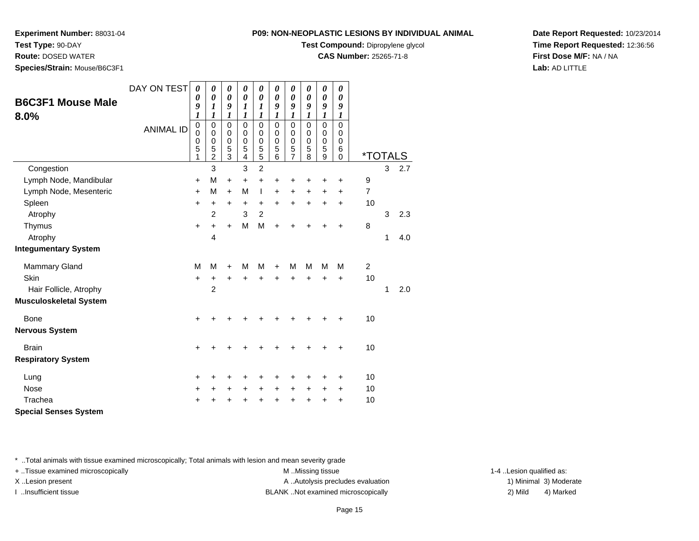**Test Type:** 90-DAY

**Route:** DOSED WATER

**Species/Strain:** Mouse/B6C3F1

#### **P09: NON-NEOPLASTIC LESIONS BY INDIVIDUAL ANIMAL**

**Test Compound:** Dipropylene glycol

**CAS Number:** 25265-71-8

**Date Report Requested:** 10/23/2014**Time Report Requested:** 12:36:56**First Dose M/F:** NA / NA**Lab:** AD LITTLE

| <b>B6C3F1 Mouse Male</b>      | DAY ON TEST      | $\boldsymbol{\theta}$<br>0<br>9                   | $\boldsymbol{\theta}$<br>$\boldsymbol{\theta}$<br>$\boldsymbol{l}$ | $\boldsymbol{\theta}$<br>$\boldsymbol{\theta}$<br>9 | 0<br>$\pmb{\theta}$<br>1                              | 0<br>$\pmb{\theta}$<br>$\boldsymbol{l}$ | 0<br>$\boldsymbol{\theta}$<br>9                     | $\boldsymbol{\theta}$<br>$\boldsymbol{\theta}$<br>9    | $\pmb{\theta}$<br>$\boldsymbol{\theta}$<br>9 | $\boldsymbol{\theta}$<br>$\boldsymbol{\theta}$<br>9 | $\boldsymbol{\theta}$<br>$\boldsymbol{\theta}$<br>9 |                       |              |     |
|-------------------------------|------------------|---------------------------------------------------|--------------------------------------------------------------------|-----------------------------------------------------|-------------------------------------------------------|-----------------------------------------|-----------------------------------------------------|--------------------------------------------------------|----------------------------------------------|-----------------------------------------------------|-----------------------------------------------------|-----------------------|--------------|-----|
| 8.0%                          |                  | $\boldsymbol{l}$                                  | $\boldsymbol{l}$                                                   | $\boldsymbol{l}$                                    | $\boldsymbol{l}$                                      | $\boldsymbol{l}$                        | 1                                                   | 1                                                      | 1                                            | $\boldsymbol{l}$                                    | 1                                                   |                       |              |     |
|                               | <b>ANIMAL ID</b> | $\mathbf 0$<br>$\mathbf 0$<br>$\pmb{0}$<br>5<br>1 | $\mathbf 0$<br>$\mathbf 0$<br>$\pmb{0}$<br>5<br>$\overline{2}$     | $\mathbf 0$<br>0<br>0<br>$\frac{5}{3}$              | 0<br>$\mathbf 0$<br>0<br>5<br>$\overline{\mathbf{4}}$ | 0<br>0<br>0<br>5<br>$\overline{5}$      | $\mathbf 0$<br>$\mathbf 0$<br>$\mathbf 0$<br>5<br>6 | $\mathbf 0$<br>0<br>$\mathbf 0$<br>5<br>$\overline{7}$ | $\mathbf 0$<br>0<br>$\mathbf 0$<br>5<br>8    | $\mathbf 0$<br>$\mathbf 0$<br>0<br>5<br>9           | $\mathbf 0$<br>0<br>0<br>6<br>$\Omega$              | <i><b>*TOTALS</b></i> |              |     |
| Congestion                    |                  |                                                   | 3                                                                  |                                                     | 3                                                     | $\overline{2}$                          |                                                     |                                                        |                                              |                                                     |                                                     |                       | 3            | 2.7 |
| Lymph Node, Mandibular        |                  | +                                                 | M                                                                  | $\ddot{}$                                           | $\ddot{}$                                             | $\ddot{}$                               | +                                                   |                                                        |                                              |                                                     | ٠                                                   | 9                     |              |     |
| Lymph Node, Mesenteric        |                  | $\ddot{}$                                         | М                                                                  | $\ddot{}$                                           | M                                                     | $\mathbf{I}$                            | $\ddot{}$                                           | $\ddot{}$                                              | $\ddot{}$                                    | $\ddot{}$                                           | $\ddot{}$                                           | $\overline{7}$        |              |     |
| Spleen                        |                  | +                                                 | $\ddot{}$                                                          | $\ddot{}$                                           | $\pm$                                                 | $\ddot{}$                               | $\ddot{}$                                           | $\ddot{}$                                              | $\ddot{}$                                    | $\ddot{}$                                           | $\ddot{}$                                           | 10                    |              |     |
| Atrophy                       |                  |                                                   | $\overline{2}$                                                     |                                                     | 3                                                     | $\overline{c}$                          |                                                     |                                                        |                                              |                                                     |                                                     |                       | $\mathbf{3}$ | 2.3 |
| Thymus                        |                  | $\ddot{}$                                         | $\ddot{}$                                                          | $+$                                                 | M                                                     | M                                       | $\ddot{}$                                           | +                                                      |                                              |                                                     | +                                                   | 8                     |              |     |
| Atrophy                       |                  |                                                   | $\overline{4}$                                                     |                                                     |                                                       |                                         |                                                     |                                                        |                                              |                                                     |                                                     |                       | 1            | 4.0 |
| <b>Integumentary System</b>   |                  |                                                   |                                                                    |                                                     |                                                       |                                         |                                                     |                                                        |                                              |                                                     |                                                     |                       |              |     |
| <b>Mammary Gland</b>          |                  | M                                                 | М                                                                  | $\ddot{}$                                           | M                                                     | M                                       | $\ddot{}$                                           | M                                                      | M                                            | M                                                   | M                                                   | $\overline{c}$        |              |     |
| <b>Skin</b>                   |                  | $\ddot{}$                                         | $\ddot{}$                                                          | $\ddot{}$                                           | +                                                     | +                                       | +                                                   | $\ddot{}$                                              | $\ddot{}$                                    | $\ddot{}$                                           | $\ddot{}$                                           | 10                    |              |     |
| Hair Follicle, Atrophy        |                  |                                                   | $\overline{2}$                                                     |                                                     |                                                       |                                         |                                                     |                                                        |                                              |                                                     |                                                     |                       | 1            | 2.0 |
| <b>Musculoskeletal System</b> |                  |                                                   |                                                                    |                                                     |                                                       |                                         |                                                     |                                                        |                                              |                                                     |                                                     |                       |              |     |
| Bone                          |                  | $\ddot{}$                                         |                                                                    |                                                     |                                                       |                                         |                                                     |                                                        |                                              |                                                     | +                                                   | 10                    |              |     |
| <b>Nervous System</b>         |                  |                                                   |                                                                    |                                                     |                                                       |                                         |                                                     |                                                        |                                              |                                                     |                                                     |                       |              |     |
| <b>Brain</b>                  |                  | $\ddot{}$                                         |                                                                    |                                                     |                                                       |                                         |                                                     |                                                        |                                              |                                                     | ٠                                                   | 10                    |              |     |
| <b>Respiratory System</b>     |                  |                                                   |                                                                    |                                                     |                                                       |                                         |                                                     |                                                        |                                              |                                                     |                                                     |                       |              |     |
| Lung                          |                  | +                                                 |                                                                    | +                                                   |                                                       | +                                       | +                                                   | +                                                      |                                              | ٠                                                   | +                                                   | 10                    |              |     |
| Nose                          |                  | +                                                 |                                                                    | +                                                   | +                                                     | $\pm$                                   | +                                                   | +                                                      | +                                            | $\pm$                                               | +                                                   | 10                    |              |     |
| Trachea                       |                  | $\ddot{}$                                         |                                                                    | +                                                   |                                                       | +                                       | +                                                   | +                                                      |                                              | +                                                   | +                                                   | 10                    |              |     |
| <b>Special Senses System</b>  |                  |                                                   |                                                                    |                                                     |                                                       |                                         |                                                     |                                                        |                                              |                                                     |                                                     |                       |              |     |

\* ..Total animals with tissue examined microscopically; Total animals with lesion and mean severity grade

+ ..Tissue examined microscopically examined microscopically examined as:  $M$  ..Missing tissue 1-4 ..Lesion qualified as: X..Lesion present **A ..Autolysis precludes evaluation** A ..Autolysis precludes evaluation 1) Minimal 3) Moderate I ..Insufficient tissue 2) Mild and the SLANK ..Not examined microscopically and the SLANK ... Insufficient tissue

4) Marked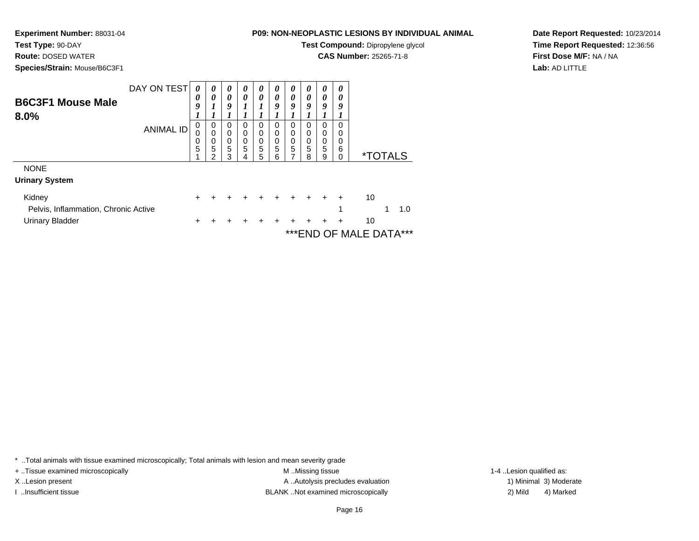**Test Type:** 90-DAY

**Route:** DOSED WATER

**Species/Strain:** Mouse/B6C3F1

## **P09: NON-NEOPLASTIC LESIONS BY INDIVIDUAL ANIMAL**

**Test Compound:** Dipropylene glycol

**CAS Number:** 25265-71-8

**Date Report Requested:** 10/23/2014**Time Report Requested:** 12:36:56**First Dose M/F:** NA / NA**Lab:** AD LITTLE

| <b>B6C3F1 Mouse Male</b>             | DAY ON TEST      | 0<br>0           | 0<br>0                | $\boldsymbol{\theta}$<br>0 | 0<br>0           | 0<br>0                | 0<br>0                | $\boldsymbol{\theta}$<br>0 | 0<br>0                | 0<br>0                | 0<br>0                |                        |                       |     |
|--------------------------------------|------------------|------------------|-----------------------|----------------------------|------------------|-----------------------|-----------------------|----------------------------|-----------------------|-----------------------|-----------------------|------------------------|-----------------------|-----|
| 8.0%                                 |                  | 9                |                       | 9                          |                  |                       | 9                     | 9                          | 9                     | 9                     | 9                     |                        |                       |     |
|                                      | <b>ANIMAL ID</b> | 0<br>0<br>0<br>5 | 0<br>0<br>0<br>5<br>2 | 0<br>0<br>0<br>5<br>3      | 0<br>0<br>0<br>5 | 0<br>0<br>0<br>5<br>5 | 0<br>0<br>0<br>5<br>6 | 0<br>0<br>0<br>5<br>7      | 0<br>0<br>0<br>5<br>8 | 0<br>0<br>0<br>5<br>9 | 0<br>0<br>0<br>6<br>0 |                        | <i><b>*TOTALS</b></i> |     |
| <b>NONE</b>                          |                  |                  |                       |                            |                  |                       |                       |                            |                       |                       |                       |                        |                       |     |
| <b>Urinary System</b>                |                  |                  |                       |                            |                  |                       |                       |                            |                       |                       |                       |                        |                       |     |
| Kidney                               |                  | +                |                       |                            |                  |                       |                       |                            |                       |                       |                       | 10                     |                       |     |
| Pelvis, Inflammation, Chronic Active |                  |                  |                       |                            |                  |                       |                       |                            |                       |                       | 4                     |                        |                       | 1.0 |
| <b>Urinary Bladder</b>               |                  | +                |                       |                            |                  |                       |                       |                            |                       |                       |                       | 10                     |                       |     |
|                                      |                  |                  |                       |                            |                  |                       |                       |                            |                       |                       |                       | ***END OF MALE DATA*** |                       |     |

\* ..Total animals with tissue examined microscopically; Total animals with lesion and mean severity grade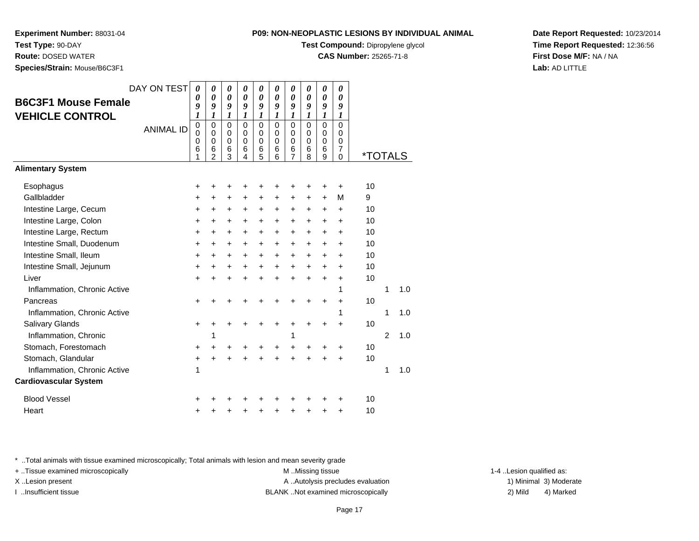**Test Compound:** Dipropylene glycol

0 \*TOTALS

**CAS Number:** 25265-71-8

**Date Report Requested:** 10/23/2014**Time Report Requested:** 12:36:56**First Dose M/F:** NA / NA**Lab:** AD LITTLE

| Inflammation, Chronic Active                                                                            |     |  |  |                  |     |      |           |                                    |                | 1.0 |                          |
|---------------------------------------------------------------------------------------------------------|-----|--|--|------------------|-----|------|-----------|------------------------------------|----------------|-----|--------------------------|
| <b>Salivary Glands</b>                                                                                  | $+$ |  |  | $\pm$            | $+$ | $^+$ | $\pm$     | 10                                 |                |     |                          |
| Inflammation, Chronic                                                                                   |     |  |  |                  |     |      |           |                                    | $\overline{2}$ | 1.0 |                          |
| Stomach, Forestomach                                                                                    | $+$ |  |  |                  |     |      | $\div$    | 10                                 |                |     |                          |
| Stomach, Glandular                                                                                      |     |  |  |                  |     |      | $\pm$     | 10                                 |                |     |                          |
| Inflammation, Chronic Active                                                                            |     |  |  |                  |     |      |           |                                    | 1              | 1.0 |                          |
| <b>Cardiovascular System</b>                                                                            |     |  |  |                  |     |      |           |                                    |                |     |                          |
| <b>Blood Vessel</b>                                                                                     |     |  |  |                  |     |      |           | 10                                 |                |     |                          |
| Heart                                                                                                   |     |  |  |                  |     |      | $\ddot{}$ | 10                                 |                |     |                          |
|                                                                                                         |     |  |  |                  |     |      |           |                                    |                |     |                          |
| * Total animals with tissue examined microscopically; Total animals with lesion and mean severity grade |     |  |  |                  |     |      |           |                                    |                |     |                          |
| + Tissue examined microscopically                                                                       |     |  |  | M Missing tissue |     |      |           |                                    |                |     | 1-4 Lesion qualified as: |
| X. Lesion present                                                                                       |     |  |  |                  |     |      |           | A  Autolysis precludes evaluation  |                |     | 1) Minimal 3) Moderate   |
| Insufficient tissue                                                                                     |     |  |  |                  |     |      |           | BLANK Not examined microscopically |                |     | 2) Mild<br>4) Marked     |
|                                                                                                         |     |  |  |                  |     |      |           |                                    |                |     |                          |

**Experiment Number:** 88031-04

**Species/Strain:** Mouse/B6C3F1

**B6C3F1 Mouse FemaleVEHICLE CONTROL**

DAY ON TEST

<sup>+</sup> <sup>+</sup> <sup>+</sup> <sup>+</sup> <sup>+</sup> <sup>+</sup> <sup>+</sup> <sup>+</sup> <sup>+</sup> + 10

<sup>+</sup> <sup>+</sup> <sup>+</sup> <sup>+</sup> <sup>+</sup> <sup>+</sup> <sup>+</sup> <sup>+</sup> <sup>+</sup> + 10

<sup>+</sup> <sup>+</sup> <sup>+</sup> <sup>+</sup> <sup>+</sup> <sup>+</sup> <sup>+</sup> <sup>+</sup> <sup>+</sup> + 10

<sup>+</sup> <sup>+</sup> <sup>+</sup> <sup>+</sup> <sup>+</sup> <sup>+</sup> <sup>+</sup> <sup>+</sup> <sup>+</sup> + 10

<sup>+</sup> <sup>+</sup> <sup>+</sup> <sup>+</sup> <sup>+</sup> <sup>+</sup> <sup>+</sup> <sup>+</sup> <sup>+</sup> + 10

<sup>+</sup> <sup>+</sup> <sup>+</sup> <sup>+</sup> <sup>+</sup> <sup>+</sup> <sup>+</sup> <sup>+</sup> + 10

<sup>+</sup> <sup>+</sup> <sup>+</sup> <sup>+</sup> <sup>+</sup> <sup>+</sup> <sup>+</sup> <sup>+</sup> M 9

<sup>+</sup> <sup>+</sup> <sup>+</sup> <sup>+</sup> <sup>+</sup> <sup>+</sup> <sup>+</sup> <sup>+</sup> + 10

<sup>+</sup> <sup>+</sup> <sup>+</sup> <sup>+</sup> <sup>+</sup> <sup>+</sup> <sup>+</sup> <sup>+</sup> + 10

<sup>+</sup> <sup>+</sup> <sup>+</sup> <sup>+</sup> <sup>+</sup> <sup>+</sup> <sup>+</sup> <sup>+</sup> + 10

e 1 1 1.0

ANIMAL ID

 $\mathsf{S}$  +

r +

 $\mathsf{r}$  +

<sup>+</sup>

 $\mathsf{n}$  +

**Test Type:** 90-DAY**Route:** DOSED WATER

**Alimentary System**

Intestine Large, Cecum

Intestine Large, Rectum

Intestine Small, Duodenum

Inflammation, Chronic Active

Inflammation, Chronic Active

Intestine Large, Colon

Intestine Small, Ileum

Intestine Small, Jejunum

**Esophagus** 

Gallbladder

Liver

Pancreas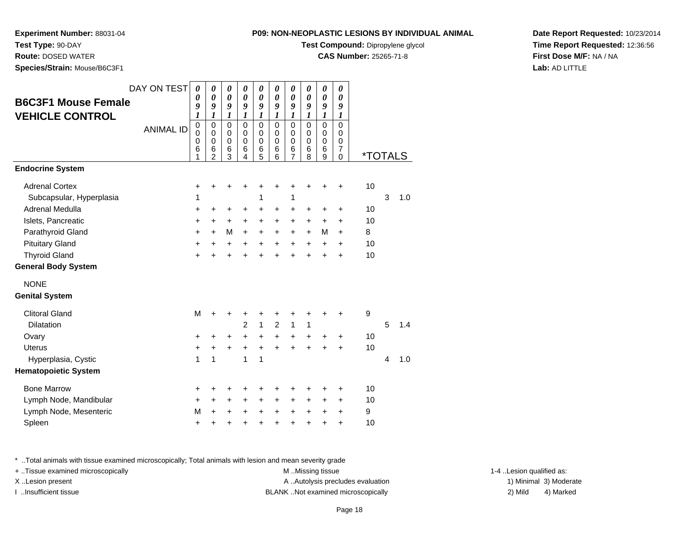**Test Compound:** Dipropylene glycol

**CAS Number:** 25265-71-8

**Date Report Requested:** 10/23/2014**Time Report Requested:** 12:36:56**First Dose M/F:** NA / NA**Lab:** AD LITTLE

DAY ON TEST**B6C3F1 Mouse FemaleVEHICLE CONTROL**ANIMAL ID*0 0 9 1* 0 0 0 6 1*0 0 9 1* 0 0 0 6 2*0 0 9 1* 0 0 0 6 3*0 0 9 1* 0 0 0 6 4*0 0 9 1* 0 0 0 6 5*0 0 9 1* 0 0 0 6 6*0 0 9 1* 0 0 0 6 7*0 0 9 1* 0 0 0 6 8*0 0 9 1* 0 0 0 6 9*0 0 9 1* 0 0 0 7 $\overline{0}$ 0 \*TOTALS**Endocrine System**Adrenal Cortex $\times$  + <sup>+</sup> <sup>+</sup> <sup>+</sup> <sup>+</sup> <sup>+</sup> <sup>+</sup> <sup>+</sup> <sup>+</sup> + 10 Subcapsular, Hyperplasiaa 1 1 1 1 3 1.0 Adrenal Medullaa  $+$  <sup>+</sup> <sup>+</sup> <sup>+</sup> <sup>+</sup> <sup>+</sup> <sup>+</sup> <sup>+</sup> <sup>+</sup> + 10 Islets, Pancreatic $\overline{c}$  + <sup>+</sup> <sup>+</sup> <sup>+</sup> <sup>+</sup> <sup>+</sup> <sup>+</sup> <sup>+</sup> <sup>+</sup> + 10 Parathyroid Gland $\alpha$  + <sup>+</sup> <sup>M</sup> <sup>+</sup> <sup>+</sup> <sup>+</sup> <sup>+</sup> <sup>+</sup> <sup>M</sup> + 8 Pituitary Gland $\alpha$  + <sup>+</sup> <sup>+</sup> <sup>+</sup> <sup>+</sup> <sup>+</sup> <sup>+</sup> <sup>+</sup> <sup>+</sup> + 10 Thyroid Glandd  $+$  <sup>+</sup> <sup>+</sup> <sup>+</sup> <sup>+</sup> <sup>+</sup> <sup>+</sup> <sup>+</sup> <sup>+</sup> + 10 **General Body System**NONE **Genital System**Clitoral Glandd M <sup>+</sup> <sup>+</sup> <sup>+</sup> <sup>+</sup> <sup>+</sup> <sup>+</sup> <sup>+</sup> <sup>+</sup> + 9 Dilatationn 2 1 2 1 1 5 1.4 Ovary $\mathsf y$  <sup>+</sup> <sup>+</sup> <sup>+</sup> <sup>+</sup> <sup>+</sup> <sup>+</sup> <sup>+</sup> <sup>+</sup> + 10 Uterus <sup>+</sup> <sup>+</sup> <sup>+</sup> <sup>+</sup> <sup>+</sup> <sup>+</sup> <sup>+</sup> <sup>+</sup> <sup>+</sup> + 10 Hyperplasia, Cysticc and  $\sim$  1 <sup>1</sup> <sup>1</sup> <sup>1</sup> <sup>4</sup> 1.0 **Hematopoietic System**Bone Marrow <sup>+</sup> <sup>+</sup> <sup>+</sup> <sup>+</sup> <sup>+</sup> <sup>+</sup> <sup>+</sup> <sup>+</sup> <sup>+</sup> + 10 Lymph Node, Mandibularr + <sup>+</sup> <sup>+</sup> <sup>+</sup> <sup>+</sup> <sup>+</sup> <sup>+</sup> <sup>+</sup> <sup>+</sup> + 10 Lymph Node, Mesentericc M <sup>+</sup> <sup>+</sup> <sup>+</sup> <sup>+</sup> <sup>+</sup> <sup>+</sup> <sup>+</sup> <sup>+</sup> + 9 Spleenn  $+$ <sup>+</sup> <sup>+</sup> <sup>+</sup> <sup>+</sup> <sup>+</sup> <sup>+</sup> <sup>+</sup> <sup>+</sup> + 10

\* ..Total animals with tissue examined microscopically; Total animals with lesion and mean severity grade

+ ..Tissue examined microscopically examined microscopically examined as: M ..Missing tissue 1-4 ..Lesion qualified as:

**Experiment Number:** 88031-04

**Species/Strain:** Mouse/B6C3F1

**Test Type:** 90-DAY**Route:** DOSED WATER

X..Lesion present **A ..**Autolysis precludes evaluation A ..Autolysis precludes evaluation 1) Minimal 3) Moderate I ..Insufficient tissue BLANK ..Not examined microscopically 2) Mild 4) Marked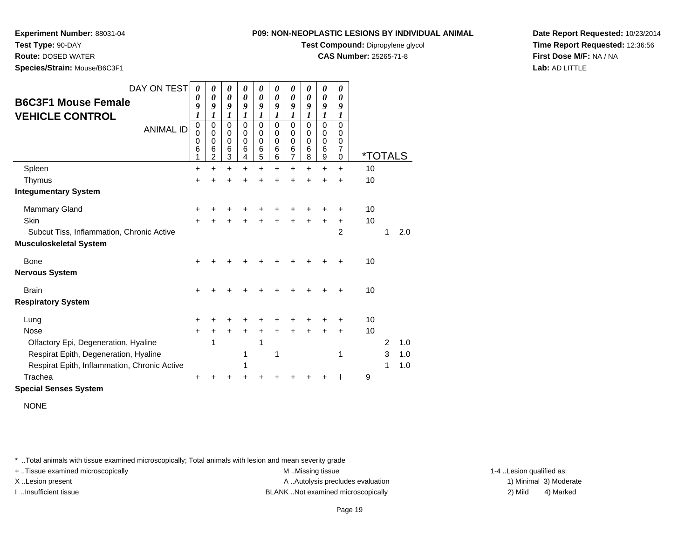**Test Compound:** Dipropylene glycol

**CAS Number:** 25265-71-8

**Date Report Requested:** 10/23/2014**Time Report Requested:** 12:36:56**First Dose M/F:** NA / NA**Lab:** AD LITTLE

DAY ON TEST**B6C3F1 Mouse FemaleVEHICLE CONTROL**ANIMAL ID*0 0 9 1* 0 0 0 6 1 $\ddot{}$ *0 0 9 1* 0 0 0 6 2*0 0 9 1* 0 0 0 6 3*0 0 9 1* 0 0 0 6 4*0 0 9 1* 0 0 0 6 5*0 0 9 1* 0 0 0 6 6*0 0 9 1* 0 0 0 6 7*0 0 9 1* 0 0 0 6 8*0 0 9 1* 0 0 0 6 9*0 0 9 1* 0 0 0 7 $\overline{0}$ 0 \*TOTALSSpleenn  $+$  <sup>+</sup> <sup>+</sup> <sup>+</sup> <sup>+</sup> <sup>+</sup> <sup>+</sup> <sup>+</sup> <sup>+</sup> + 10 **Thymus**  <sup>+</sup> <sup>+</sup> <sup>+</sup> <sup>+</sup> <sup>+</sup> <sup>+</sup> <sup>+</sup> <sup>+</sup> <sup>+</sup> + 10 **Integumentary System**Mammary Gland $\alpha$  + <sup>+</sup> <sup>+</sup> <sup>+</sup> <sup>+</sup> <sup>+</sup> <sup>+</sup> <sup>+</sup> <sup>+</sup> + 10 **Skin** n  $+$  <sup>+</sup> <sup>+</sup> <sup>+</sup> <sup>+</sup> <sup>+</sup> <sup>+</sup> <sup>+</sup> <sup>+</sup> + 10 Subcut Tiss, Inflammation, Chronic Activee 2 1 2.0 **Musculoskeletal System**Bone $e$  + <sup>+</sup> <sup>+</sup> <sup>+</sup> <sup>+</sup> <sup>+</sup> <sup>+</sup> <sup>+</sup> <sup>+</sup> + 10 **Nervous System**Brainn  $+$  <sup>+</sup> <sup>+</sup> <sup>+</sup> <sup>+</sup> <sup>+</sup> <sup>+</sup> <sup>+</sup> <sup>+</sup> + 10 **Respiratory System**Lungg  $\rightarrow$  <sup>+</sup> <sup>+</sup> <sup>+</sup> <sup>+</sup> <sup>+</sup> <sup>+</sup> <sup>+</sup> <sup>+</sup> + 10 Nose $e$  + <sup>+</sup> <sup>+</sup> <sup>+</sup> <sup>+</sup> <sup>+</sup> <sup>+</sup> <sup>+</sup> <sup>+</sup> + 10 Olfactory Epi, Degeneration, Hyalinee 1 1 1 2 1.0 Respirat Epith, Degeneration, Hyaline <sup>1</sup> <sup>1</sup> <sup>1</sup> <sup>3</sup> 1.0 Respirat Epith, Inflammation, Chronic Activee 1 1 1.0 Trachea

#### a  $+$ **Special Senses System**

**Experiment Number:** 88031-04

**Species/Strain:** Mouse/B6C3F1

**Test Type:** 90-DAY**Route:** DOSED WATER

NONE

\* ..Total animals with tissue examined microscopically; Total animals with lesion and mean severity grade

+ ..Tissue examined microscopically examined microscopically examined as: M ..Missing tissue 1-4 ..Lesion qualified as:

X..Lesion present **A ..**Autolysis precludes evaluation A ..Autolysis precludes evaluation 1) Minimal 3) Moderate I ..Insufficient tissue BLANK ..Not examined microscopically 2) Mild 4) Marked

<sup>+</sup> <sup>+</sup> <sup>+</sup> <sup>+</sup> <sup>+</sup> <sup>+</sup> <sup>+</sup> <sup>+</sup> I 9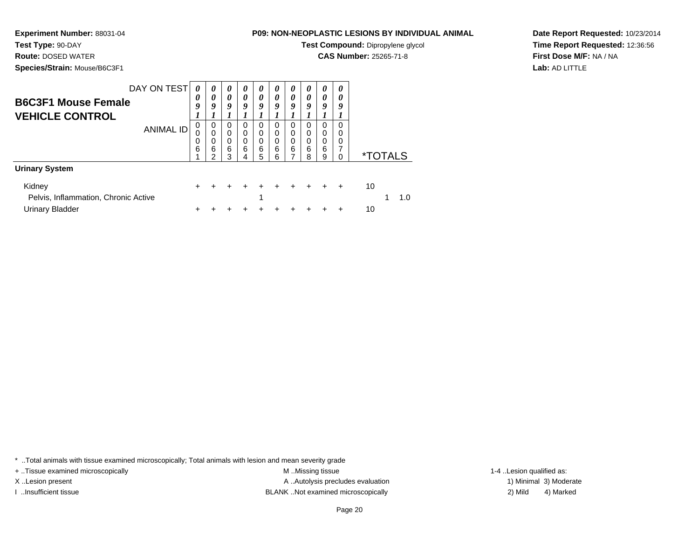**Test Compound:** Dipropylene glycol

**CAS Number:** 25265-71-8

**Date Report Requested:** 10/23/2014**Time Report Requested:** 12:36:56**First Dose M/F:** NA / NA**Lab:** AD LITTLE

DAY ON TEST **B6C3F1 Mouse FemaleVEHICLE CONTROL**ANIMAL ID*0 0 9 1* 0 0 0 6 1*0 0 9 1*0<br>0<br>0<br>0<br>0<br>2 *0 0 9 1* 0 0 0 6 3*0 0 9 1* 0 0 0 6 4*0 0 9 1* 0 0 0 6 5*0 0 9 1* 0 0 0 6 6*0 0 9 1* 0 0 0 6 7*0 0 9 1* 0 0 0 6 8*0 0 9 1* 0 0 0 6 9*0 0 9 1* 0 0 0 7 $\dot{0}$ 0 \*TOTALS**Urinary System**Kidney <sup>+</sup> <sup>+</sup> <sup>+</sup> <sup>+</sup> <sup>+</sup> <sup>+</sup> <sup>+</sup> <sup>+</sup> <sup>+</sup> + 10 Pelvis, Inflammation, Chronic Activee 1 1 1.0 Urinary Bladder $\mathsf{r}$  + <sup>+</sup> <sup>+</sup> <sup>+</sup> <sup>+</sup> <sup>+</sup> <sup>+</sup> <sup>+</sup> <sup>+</sup> + 10

\* ..Total animals with tissue examined microscopically; Total animals with lesion and mean severity grade

+ ..Tissue examined microscopically examined microscopically examined as: M ..Missing tissue 1-4 ..Lesion qualified as:

**Experiment Number:** 88031-04

**Species/Strain:** Mouse/B6C3F1

**Test Type:** 90-DAY**Route:** DOSED WATER

X..Lesion present **A ..**Autolysis precludes evaluation A ..Autolysis precludes evaluation 1) Minimal 3) Moderate I ..Insufficient tissue BLANK ..Not examined microscopically 2) Mild 4) Marked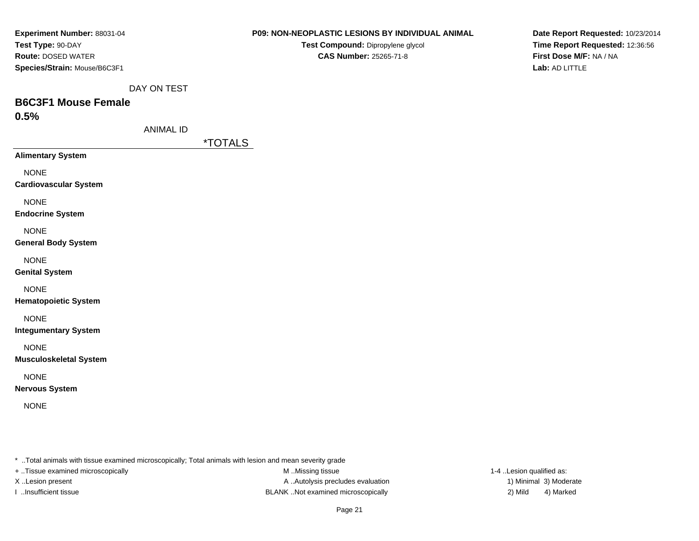| Experiment Number: 88031-04                                                                             |                  |                        | P09: NON-NEOPLASTIC LESIONS BY INDIVIDUAL ANIMAL |
|---------------------------------------------------------------------------------------------------------|------------------|------------------------|--------------------------------------------------|
| Test Type: 90-DAY                                                                                       |                  |                        | Test Compound: Dipropylene glycol                |
| <b>Route: DOSED WATER</b><br>Species/Strain: Mouse/B6C3F1                                               |                  | CAS Number: 25265-71-8 |                                                  |
|                                                                                                         |                  |                        |                                                  |
|                                                                                                         | DAY ON TEST      |                        |                                                  |
| <b>B6C3F1 Mouse Female</b>                                                                              |                  |                        |                                                  |
| 0.5%                                                                                                    |                  |                        |                                                  |
|                                                                                                         | <b>ANIMAL ID</b> |                        |                                                  |
|                                                                                                         |                  | <i><b>*TOTALS</b></i>  |                                                  |
| <b>Alimentary System</b>                                                                                |                  |                        |                                                  |
| <b>NONE</b>                                                                                             |                  |                        |                                                  |
| <b>Cardiovascular System</b>                                                                            |                  |                        |                                                  |
| <b>NONE</b>                                                                                             |                  |                        |                                                  |
| <b>Endocrine System</b>                                                                                 |                  |                        |                                                  |
| <b>NONE</b>                                                                                             |                  |                        |                                                  |
| <b>General Body System</b>                                                                              |                  |                        |                                                  |
| <b>NONE</b>                                                                                             |                  |                        |                                                  |
| <b>Genital System</b>                                                                                   |                  |                        |                                                  |
| <b>NONE</b>                                                                                             |                  |                        |                                                  |
| <b>Hematopoietic System</b>                                                                             |                  |                        |                                                  |
| <b>NONE</b>                                                                                             |                  |                        |                                                  |
| <b>Integumentary System</b>                                                                             |                  |                        |                                                  |
| <b>NONE</b>                                                                                             |                  |                        |                                                  |
| <b>Musculoskeletal System</b>                                                                           |                  |                        |                                                  |
| <b>NONE</b>                                                                                             |                  |                        |                                                  |
| <b>Nervous System</b>                                                                                   |                  |                        |                                                  |
| <b>NONE</b>                                                                                             |                  |                        |                                                  |
|                                                                                                         |                  |                        |                                                  |
|                                                                                                         |                  |                        |                                                  |
|                                                                                                         |                  |                        |                                                  |
| * Total animals with tissue examined microscopically; Total animals with lesion and mean severity grade |                  |                        |                                                  |
| + Tissue examined microscopically                                                                       |                  |                        | M Missing tissue                                 |

1-4 ..Lesion qualified as: X..Lesion present **A ..Autolysis precludes evaluation** A ..Autolysis precludes evaluation 1) Minimal 3) Moderate I ..Insufficient tissue BLANK ..Not examined microscopically 2) Mild 4) Marked

**Date Report Requested:** 10/23/2014**Time Report Requested:** 12:36:56

**First Dose M/F:** NA / NA

**Lab:** AD LITTLE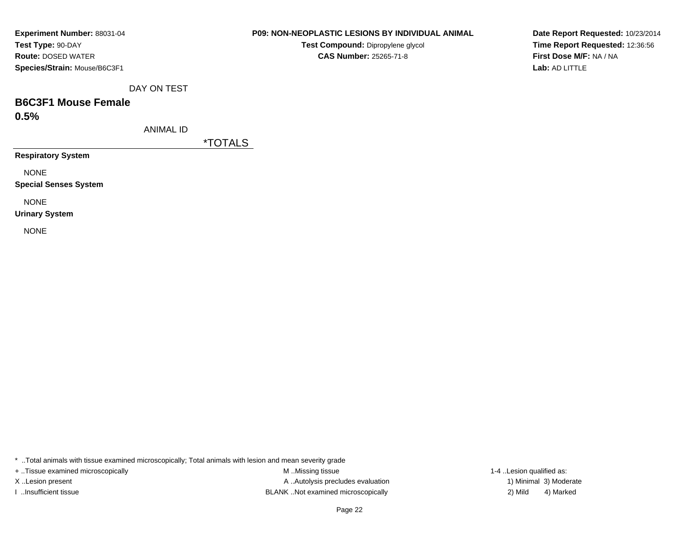| Experiment Number: 88031-04  |
|------------------------------|
| Test Type: 90-DAY            |
| <b>Route: DOSED WATER</b>    |
| Species/Strain: Mouse/B6C3F1 |

**Test Compound:** Dipropylene glycol **CAS Number:** 25265-71-8

**Date Report Requested:** 10/23/2014**Time Report Requested:** 12:36:56**First Dose M/F:** NA / NA**Lab:** AD LITTLE

DAY ON TEST

## **B6C3F1 Mouse Female**

**0.5%**

ANIMAL ID

\*TOTALS

**Respiratory System**

NONE

**Special Senses System**

NONE

**Urinary System**

NONE

\* ..Total animals with tissue examined microscopically; Total animals with lesion and mean severity grade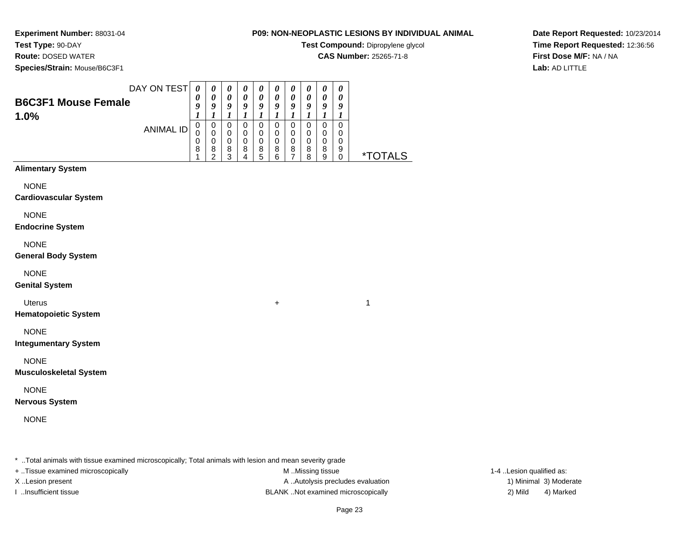## **Test Type:** 90-DAY

**Route:** DOSED WATER

**Species/Strain:** Mouse/B6C3F1

## **P09: NON-NEOPLASTIC LESIONS BY INDIVIDUAL ANIMAL**

**Test Compound:** Dipropylene glycol

**CAS Number:** 25265-71-8

**Date Report Requested:** 10/23/2014**Time Report Requested:** 12:36:56**First Dose M/F:** NA / NA**Lab:** AD LITTLE

|                                              | DAY ON TEST      | $\boldsymbol{\theta}$<br>0          | $\boldsymbol{\theta}$<br>$\boldsymbol{\theta}$                     | $\pmb{\theta}$<br>$\boldsymbol{\theta}$        | $\pmb{\theta}$<br>$\pmb{\theta}$      | $\pmb{\theta}$<br>$\boldsymbol{\theta}$   | $\pmb{\theta}$<br>0                           | $\pmb{\theta}$<br>0                                    | 0<br>$\boldsymbol{\theta}$                | $\pmb{\theta}$<br>$\boldsymbol{\theta}$ | $\boldsymbol{\theta}$<br>0                |                       |
|----------------------------------------------|------------------|-------------------------------------|--------------------------------------------------------------------|------------------------------------------------|---------------------------------------|-------------------------------------------|-----------------------------------------------|--------------------------------------------------------|-------------------------------------------|-----------------------------------------|-------------------------------------------|-----------------------|
| <b>B6C3F1 Mouse Female</b><br>1.0%           |                  | 9<br>1                              | $\boldsymbol{g}$<br>$\boldsymbol{l}$                               | $\boldsymbol{g}$<br>$\boldsymbol{l}$           | $\pmb{9}$<br>$\boldsymbol{l}$         | $\boldsymbol{g}$<br>1                     | 9<br>1                                        | 9<br>1                                                 | 9<br>1                                    | $\boldsymbol{g}$<br>$\boldsymbol{l}$    | 9<br>1                                    |                       |
|                                              | <b>ANIMAL ID</b> | $\pmb{0}$<br>0<br>$\,0\,$<br>8<br>1 | $\pmb{0}$<br>$\mathbf 0$<br>$\pmb{0}$<br>$\,8\,$<br>$\overline{c}$ | $\mathbf 0$<br>0<br>$\mathbf 0$<br>$\bf8$<br>3 | $\pmb{0}$<br>0<br>$\pmb{0}$<br>8<br>4 | $\mathbf 0$<br>0<br>$\mathbf 0$<br>8<br>5 | $\mathbf 0$<br>0<br>$\pmb{0}$<br>$\bf 8$<br>6 | $\mathbf 0$<br>0<br>$\mathbf 0$<br>8<br>$\overline{7}$ | $\mathsf 0$<br>0<br>$\mathsf 0$<br>8<br>8 | $\mathsf 0$<br>0<br>$\pmb{0}$<br>8<br>9 | $\mathsf 0$<br>0<br>$\mathbf 0$<br>9<br>0 | <i><b>*TOTALS</b></i> |
| <b>Alimentary System</b>                     |                  |                                     |                                                                    |                                                |                                       |                                           |                                               |                                                        |                                           |                                         |                                           |                       |
| <b>NONE</b><br><b>Cardiovascular System</b>  |                  |                                     |                                                                    |                                                |                                       |                                           |                                               |                                                        |                                           |                                         |                                           |                       |
| <b>NONE</b><br><b>Endocrine System</b>       |                  |                                     |                                                                    |                                                |                                       |                                           |                                               |                                                        |                                           |                                         |                                           |                       |
| <b>NONE</b><br><b>General Body System</b>    |                  |                                     |                                                                    |                                                |                                       |                                           |                                               |                                                        |                                           |                                         |                                           |                       |
| <b>NONE</b><br><b>Genital System</b>         |                  |                                     |                                                                    |                                                |                                       |                                           |                                               |                                                        |                                           |                                         |                                           |                       |
| <b>Uterus</b><br><b>Hematopoietic System</b> |                  |                                     |                                                                    |                                                |                                       |                                           | $\ddot{}$                                     |                                                        |                                           |                                         |                                           | 1                     |
| <b>NONE</b><br><b>Integumentary System</b>   |                  |                                     |                                                                    |                                                |                                       |                                           |                                               |                                                        |                                           |                                         |                                           |                       |
| <b>NONE</b><br><b>Musculoskeletal System</b> |                  |                                     |                                                                    |                                                |                                       |                                           |                                               |                                                        |                                           |                                         |                                           |                       |
| <b>NONE</b><br><b>Nervous System</b>         |                  |                                     |                                                                    |                                                |                                       |                                           |                                               |                                                        |                                           |                                         |                                           |                       |
| <b>NONE</b>                                  |                  |                                     |                                                                    |                                                |                                       |                                           |                                               |                                                        |                                           |                                         |                                           |                       |

\* ..Total animals with tissue examined microscopically; Total animals with lesion and mean severity grade

+ ..Tissue examined microscopically M ...Missing tissue 1-4 ... M ...Missing tissue

X..Lesion present **A ..Autolysis precludes evaluation** A ..Autolysis precludes evaluation 1) Minimal 3) Moderate I ..Insufficient tissue BLANK ..Not examined microscopically 2) Mild 4) Marked

1-4 ..Lesion qualified as: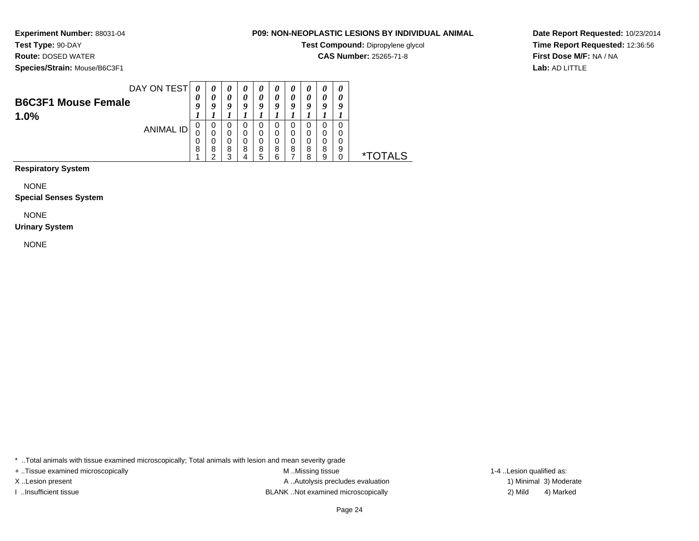## **Test Type:** 90-DAY

**Route:** DOSED WATER

**Species/Strain:** Mouse/B6C3F1

## **P09: NON-NEOPLASTIC LESIONS BY INDIVIDUAL ANIMAL**

**Test Compound:** Dipropylene glycol

**CAS Number:** 25265-71-8

**Date Report Requested:** 10/23/2014**Time Report Requested:** 12:36:56**First Dose M/F:** NA / NA**Lab:** AD LITTLE

| DAY ON TEST<br><b>B6C3F1 Mouse Female</b> | 0<br>υ            | $\boldsymbol{\theta}$<br>a | 0<br>0<br>Q      | U<br>$\boldsymbol{a}$ | o                |   | U           | U | $\boldsymbol{\theta}$<br>0<br>o | U<br>U |    |
|-------------------------------------------|-------------------|----------------------------|------------------|-----------------------|------------------|---|-------------|---|---------------------------------|--------|----|
| 1.0%<br>ANIMAL ID                         | U<br>ι.<br>U<br>8 | 0<br>0<br>0<br>8           | 0<br>0<br>0<br>8 | U<br>0<br>8           | U<br>0<br>0<br>8 | 8 | 0<br>0<br>8 | 8 | 0<br>0<br>8                     | 9      |    |
|                                           |                   | ◠                          | າ                |                       | 5                | ี |             | o | 9                               |        | ∗⊤ |

**Respiratory System**

NONE

#### **Special Senses System**

NONE

#### **Urinary System**

NONE

\* ..Total animals with tissue examined microscopically; Total animals with lesion and mean severity grade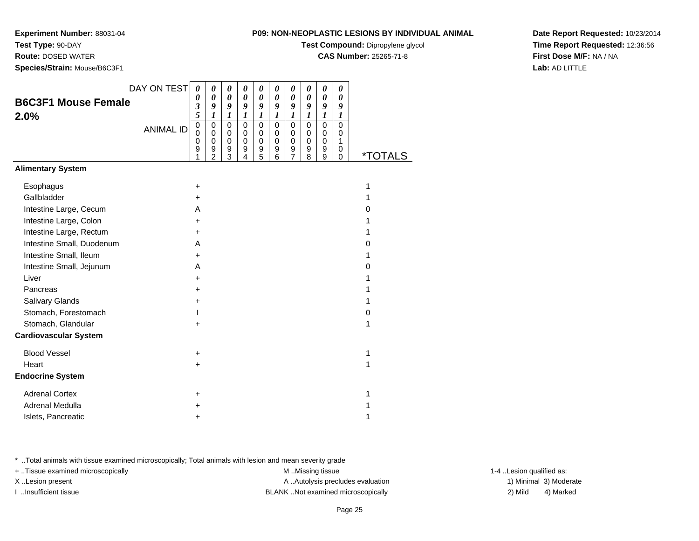**Test Type:** 90-DAY

**Route:** DOSED WATER

**Species/Strain:** Mouse/B6C3F1

## **P09: NON-NEOPLASTIC LESIONS BY INDIVIDUAL ANIMAL**

**Test Compound:** Dipropylene glycol

**CAS Number:** 25265-71-8

**Date Report Requested:** 10/23/2014**Time Report Requested:** 12:36:56**First Dose M/F:** NA / NA**Lab:** AD LITTLE

|                              | DAY ON TEST      | 0                         | 0                          | 0                          | 0<br>$\boldsymbol{\theta}$ | 0                          | 0                          | 0                          | 0                          | 0           | 0                          |                       |
|------------------------------|------------------|---------------------------|----------------------------|----------------------------|----------------------------|----------------------------|----------------------------|----------------------------|----------------------------|-------------|----------------------------|-----------------------|
| <b>B6C3F1 Mouse Female</b>   |                  | 0<br>$\boldsymbol{\beta}$ | $\boldsymbol{\theta}$<br>9 | $\boldsymbol{\theta}$<br>9 | 9                          | $\boldsymbol{\theta}$<br>9 | $\boldsymbol{\theta}$<br>9 | $\boldsymbol{\theta}$<br>9 | $\boldsymbol{\theta}$<br>9 | 0<br>9      | $\boldsymbol{\theta}$<br>9 |                       |
| 2.0%                         |                  | 5                         | 1                          | 1                          | 1                          | $\boldsymbol{l}$           | 1                          | 1                          | 1                          | 1           | 1                          |                       |
|                              | <b>ANIMAL ID</b> | $\pmb{0}$<br>$\mathbf 0$  | $\pmb{0}$                  | $\mathbf 0$                | $\mathbf 0$                | $\mathbf 0$                | $\mathbf 0$                | $\mathbf 0$                | $\mathbf 0$                | $\mathbf 0$ | $\mathbf 0$                |                       |
|                              |                  | 0                         | $\pmb{0}$<br>0             | 0<br>0                     | 0<br>0                     | $\mathbf 0$<br>0           | 0<br>0                     | $\mathbf 0$<br>0           | 0<br>0                     | 0<br>0      | 0<br>1                     |                       |
|                              |                  | 9<br>1                    | 9<br>$\overline{2}$        | 9<br>3                     | 9<br>4                     | 9<br>5                     | 9<br>6                     | 9<br>$\overline{7}$        | 9<br>8                     | 9<br>9      | 0<br>$\mathbf 0$           | <i><b>*TOTALS</b></i> |
| <b>Alimentary System</b>     |                  |                           |                            |                            |                            |                            |                            |                            |                            |             |                            |                       |
| Esophagus                    |                  | +                         |                            |                            |                            |                            |                            |                            |                            |             |                            | 1                     |
| Gallbladder                  |                  | +                         |                            |                            |                            |                            |                            |                            |                            |             |                            | 1                     |
| Intestine Large, Cecum       |                  | A                         |                            |                            |                            |                            |                            |                            |                            |             |                            | $\Omega$              |
| Intestine Large, Colon       |                  | +                         |                            |                            |                            |                            |                            |                            |                            |             |                            | 1                     |
| Intestine Large, Rectum      |                  | $\ddot{}$                 |                            |                            |                            |                            |                            |                            |                            |             |                            | 1                     |
| Intestine Small, Duodenum    |                  | A                         |                            |                            |                            |                            |                            |                            |                            |             |                            | $\Omega$              |
| Intestine Small, Ileum       |                  | $\ddot{}$                 |                            |                            |                            |                            |                            |                            |                            |             |                            | 1                     |
| Intestine Small, Jejunum     |                  | A                         |                            |                            |                            |                            |                            |                            |                            |             |                            | 0                     |
| Liver                        |                  | +                         |                            |                            |                            |                            |                            |                            |                            |             |                            | 1                     |
| Pancreas                     |                  | +                         |                            |                            |                            |                            |                            |                            |                            |             |                            | 1                     |
| Salivary Glands              |                  | +                         |                            |                            |                            |                            |                            |                            |                            |             |                            | 1                     |
| Stomach, Forestomach         |                  | I.                        |                            |                            |                            |                            |                            |                            |                            |             |                            | 0                     |
| Stomach, Glandular           |                  | $\ddot{}$                 |                            |                            |                            |                            |                            |                            |                            |             |                            | 1                     |
| <b>Cardiovascular System</b> |                  |                           |                            |                            |                            |                            |                            |                            |                            |             |                            |                       |
| <b>Blood Vessel</b>          |                  | $\ddot{}$                 |                            |                            |                            |                            |                            |                            |                            |             |                            | 1                     |
| Heart                        |                  | $\ddot{}$                 |                            |                            |                            |                            |                            |                            |                            |             |                            | 1                     |
| <b>Endocrine System</b>      |                  |                           |                            |                            |                            |                            |                            |                            |                            |             |                            |                       |
| <b>Adrenal Cortex</b>        |                  | +                         |                            |                            |                            |                            |                            |                            |                            |             |                            | 1                     |
| Adrenal Medulla              |                  | +                         |                            |                            |                            |                            |                            |                            |                            |             |                            | 1                     |
| Islets, Pancreatic           |                  | +                         |                            |                            |                            |                            |                            |                            |                            |             |                            | 1                     |

\* ..Total animals with tissue examined microscopically; Total animals with lesion and mean severity grade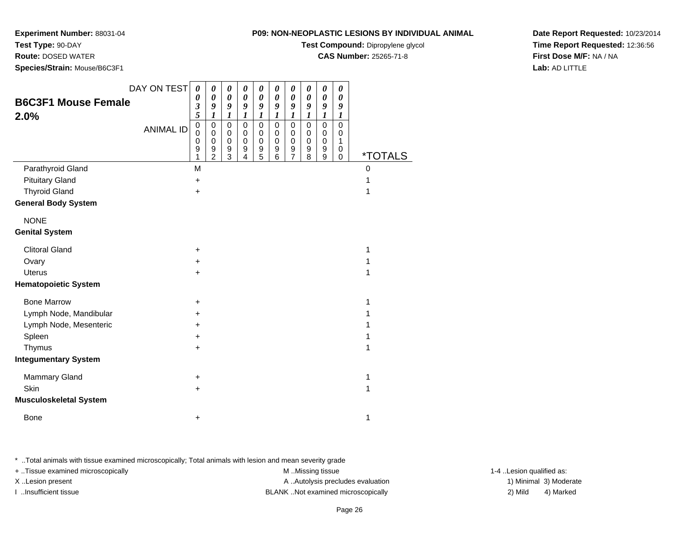## **Test Type:** 90-DAY

**Route:** DOSED WATER

**Species/Strain:** Mouse/B6C3F1

## **P09: NON-NEOPLASTIC LESIONS BY INDIVIDUAL ANIMAL**

**Test Compound:** Dipropylene glycol

**CAS Number:** 25265-71-8

**Date Report Requested:** 10/23/2014**Time Report Requested:** 12:36:56**First Dose M/F:** NA / NA**Lab:** AD LITTLE

| <b>B6C3F1 Mouse Female</b><br>2.0% | DAY ON TEST<br><b>ANIMAL ID</b> | $\boldsymbol{\theta}$<br>0<br>$\overline{\mathbf{3}}$<br>5<br>$\mathbf 0$<br>0<br>$\boldsymbol{0}$<br>9<br>1 | 0<br>$\pmb{\theta}$<br>9<br>1<br>$\mathbf 0$<br>$\mathbf 0$<br>$\pmb{0}$<br>$\frac{9}{2}$ | 0<br>$\pmb{\theta}$<br>9<br>1<br>$\mathbf 0$<br>0<br>0<br>9<br>$\overline{3}$ | 0<br>$\boldsymbol{\theta}$<br>9<br>1<br>$\mathbf 0$<br>0<br>$\mathbf 0$<br>9<br>4 | 0<br>$\boldsymbol{\theta}$<br>9<br>$\boldsymbol{l}$<br>$\mathbf 0$<br>0<br>$\pmb{0}$<br>$\frac{9}{5}$ | 0<br>$\boldsymbol{\theta}$<br>9<br>$\boldsymbol{l}$<br>$\mathbf 0$<br>0<br>$\pmb{0}$<br>9<br>6 | 0<br>$\pmb{\theta}$<br>9<br>$\boldsymbol{l}$<br>$\mathbf 0$<br>0<br>$\pmb{0}$<br>9<br>$\overline{7}$ | 0<br>$\boldsymbol{\theta}$<br>9<br>$\boldsymbol{l}$<br>$\mathbf 0$<br>$\mathbf 0$<br>$\mathbf 0$<br>9<br>8 | 0<br>$\pmb{\theta}$<br>9<br>$\boldsymbol{l}$<br>$\mathbf 0$<br>0<br>$\pmb{0}$<br>9<br>9 | $\boldsymbol{\theta}$<br>$\theta$<br>9<br>1<br>$\mathbf 0$<br>$\Omega$<br>1<br>0<br>$\Omega$ | <i><b>*TOTALS</b></i> |
|------------------------------------|---------------------------------|--------------------------------------------------------------------------------------------------------------|-------------------------------------------------------------------------------------------|-------------------------------------------------------------------------------|-----------------------------------------------------------------------------------|-------------------------------------------------------------------------------------------------------|------------------------------------------------------------------------------------------------|------------------------------------------------------------------------------------------------------|------------------------------------------------------------------------------------------------------------|-----------------------------------------------------------------------------------------|----------------------------------------------------------------------------------------------|-----------------------|
| Parathyroid Gland                  |                                 | M                                                                                                            |                                                                                           |                                                                               |                                                                                   |                                                                                                       |                                                                                                |                                                                                                      |                                                                                                            |                                                                                         |                                                                                              | 0                     |
| <b>Pituitary Gland</b>             |                                 | +                                                                                                            |                                                                                           |                                                                               |                                                                                   |                                                                                                       |                                                                                                |                                                                                                      |                                                                                                            |                                                                                         |                                                                                              | 1                     |
| <b>Thyroid Gland</b>               |                                 | +                                                                                                            |                                                                                           |                                                                               |                                                                                   |                                                                                                       |                                                                                                |                                                                                                      |                                                                                                            |                                                                                         |                                                                                              | 1                     |
| <b>General Body System</b>         |                                 |                                                                                                              |                                                                                           |                                                                               |                                                                                   |                                                                                                       |                                                                                                |                                                                                                      |                                                                                                            |                                                                                         |                                                                                              |                       |
| <b>NONE</b>                        |                                 |                                                                                                              |                                                                                           |                                                                               |                                                                                   |                                                                                                       |                                                                                                |                                                                                                      |                                                                                                            |                                                                                         |                                                                                              |                       |
| <b>Genital System</b>              |                                 |                                                                                                              |                                                                                           |                                                                               |                                                                                   |                                                                                                       |                                                                                                |                                                                                                      |                                                                                                            |                                                                                         |                                                                                              |                       |
| <b>Clitoral Gland</b>              |                                 | +                                                                                                            |                                                                                           |                                                                               |                                                                                   |                                                                                                       |                                                                                                |                                                                                                      |                                                                                                            |                                                                                         |                                                                                              | 1                     |
| Ovary                              |                                 | $\ddot{}$                                                                                                    |                                                                                           |                                                                               |                                                                                   |                                                                                                       |                                                                                                |                                                                                                      |                                                                                                            |                                                                                         |                                                                                              | 1                     |
| Uterus                             |                                 | $\ddot{}$                                                                                                    |                                                                                           |                                                                               |                                                                                   |                                                                                                       |                                                                                                |                                                                                                      |                                                                                                            |                                                                                         |                                                                                              | 1                     |
| <b>Hematopoietic System</b>        |                                 |                                                                                                              |                                                                                           |                                                                               |                                                                                   |                                                                                                       |                                                                                                |                                                                                                      |                                                                                                            |                                                                                         |                                                                                              |                       |
| <b>Bone Marrow</b>                 |                                 | +                                                                                                            |                                                                                           |                                                                               |                                                                                   |                                                                                                       |                                                                                                |                                                                                                      |                                                                                                            |                                                                                         |                                                                                              | 1                     |
| Lymph Node, Mandibular             |                                 | $\pm$                                                                                                        |                                                                                           |                                                                               |                                                                                   |                                                                                                       |                                                                                                |                                                                                                      |                                                                                                            |                                                                                         |                                                                                              | 1                     |
| Lymph Node, Mesenteric             |                                 | $\ddot{}$                                                                                                    |                                                                                           |                                                                               |                                                                                   |                                                                                                       |                                                                                                |                                                                                                      |                                                                                                            |                                                                                         |                                                                                              |                       |
| Spleen                             |                                 | +                                                                                                            |                                                                                           |                                                                               |                                                                                   |                                                                                                       |                                                                                                |                                                                                                      |                                                                                                            |                                                                                         |                                                                                              | 1                     |
| Thymus                             |                                 | +                                                                                                            |                                                                                           |                                                                               |                                                                                   |                                                                                                       |                                                                                                |                                                                                                      |                                                                                                            |                                                                                         |                                                                                              | 1                     |
| <b>Integumentary System</b>        |                                 |                                                                                                              |                                                                                           |                                                                               |                                                                                   |                                                                                                       |                                                                                                |                                                                                                      |                                                                                                            |                                                                                         |                                                                                              |                       |
| Mammary Gland                      |                                 | $\ddot{}$                                                                                                    |                                                                                           |                                                                               |                                                                                   |                                                                                                       |                                                                                                |                                                                                                      |                                                                                                            |                                                                                         |                                                                                              | 1                     |
| Skin                               |                                 | $\ddot{}$                                                                                                    |                                                                                           |                                                                               |                                                                                   |                                                                                                       |                                                                                                |                                                                                                      |                                                                                                            |                                                                                         |                                                                                              | 1                     |
| <b>Musculoskeletal System</b>      |                                 |                                                                                                              |                                                                                           |                                                                               |                                                                                   |                                                                                                       |                                                                                                |                                                                                                      |                                                                                                            |                                                                                         |                                                                                              |                       |
| <b>Bone</b>                        |                                 | +                                                                                                            |                                                                                           |                                                                               |                                                                                   |                                                                                                       |                                                                                                |                                                                                                      |                                                                                                            |                                                                                         |                                                                                              | 1                     |

\* ..Total animals with tissue examined microscopically; Total animals with lesion and mean severity grade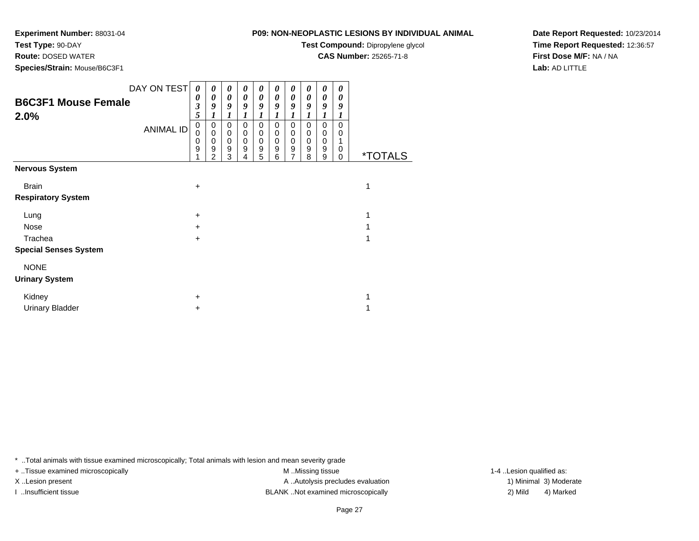## **Test Type:** 90-DAY

**Route:** DOSED WATER

**Species/Strain:** Mouse/B6C3F1

## **P09: NON-NEOPLASTIC LESIONS BY INDIVIDUAL ANIMAL**

**Test Compound:** Dipropylene glycol

**CAS Number:** 25265-71-8

**Date Report Requested:** 10/23/2014**Time Report Requested:** 12:36:57**First Dose M/F:** NA / NA**Lab:** AD LITTLE

| <b>B6C3F1 Mouse Female</b><br>2.0% | DAY ON TEST      | 0<br>0<br>3<br>5 | 0<br>0<br>9<br>1                                   | 0<br>0<br>9<br>1      | 0<br>0<br>9<br>1                     | 0<br>0<br>9<br>1      | 0<br>$\boldsymbol{\theta}$<br>9<br>1 | 0<br>0<br>9<br>1      | 0<br>0<br>9<br>1      | 0<br>0<br>9           | 0<br>0<br>9<br>1      |                       |
|------------------------------------|------------------|------------------|----------------------------------------------------|-----------------------|--------------------------------------|-----------------------|--------------------------------------|-----------------------|-----------------------|-----------------------|-----------------------|-----------------------|
|                                    | <b>ANIMAL ID</b> | 0<br>0<br>0<br>9 | 0<br>$\pmb{0}$<br>$\pmb{0}$<br>9<br>$\overline{2}$ | 0<br>0<br>0<br>9<br>3 | 0<br>0<br>0<br>$\boldsymbol{9}$<br>4 | 0<br>0<br>0<br>9<br>5 | 0<br>0<br>0<br>$\boldsymbol{9}$<br>6 | 0<br>0<br>0<br>9<br>7 | 0<br>0<br>0<br>9<br>8 | 0<br>0<br>0<br>9<br>9 | 0<br>0<br>1<br>0<br>0 | <i><b>*TOTALS</b></i> |
| <b>Nervous System</b>              |                  |                  |                                                    |                       |                                      |                       |                                      |                       |                       |                       |                       |                       |
| <b>Brain</b>                       |                  | $\pm$            |                                                    |                       |                                      |                       |                                      |                       |                       |                       |                       | 1                     |
| <b>Respiratory System</b>          |                  |                  |                                                    |                       |                                      |                       |                                      |                       |                       |                       |                       |                       |
| Lung                               |                  | $\ddot{}$        |                                                    |                       |                                      |                       |                                      |                       |                       |                       |                       | 1                     |
| <b>Nose</b>                        |                  | $\pm$            |                                                    |                       |                                      |                       |                                      |                       |                       |                       |                       |                       |
| Trachea                            |                  | $\pm$            |                                                    |                       |                                      |                       |                                      |                       |                       |                       |                       | 1                     |
| <b>Special Senses System</b>       |                  |                  |                                                    |                       |                                      |                       |                                      |                       |                       |                       |                       |                       |
| <b>NONE</b>                        |                  |                  |                                                    |                       |                                      |                       |                                      |                       |                       |                       |                       |                       |
| <b>Urinary System</b>              |                  |                  |                                                    |                       |                                      |                       |                                      |                       |                       |                       |                       |                       |
| Kidney                             |                  | $\pm$            |                                                    |                       |                                      |                       |                                      |                       |                       |                       |                       | 1                     |
| <b>Urinary Bladder</b>             |                  | $\pm$            |                                                    |                       |                                      |                       |                                      |                       |                       |                       |                       |                       |

\* ..Total animals with tissue examined microscopically; Total animals with lesion and mean severity grade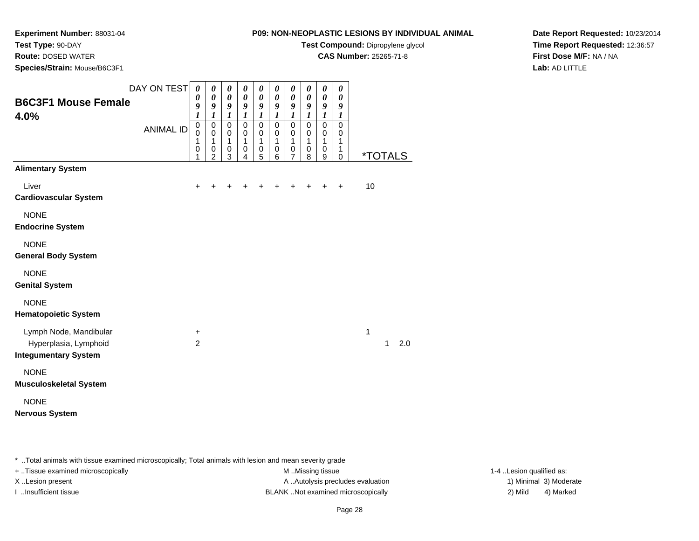**Test Type:** 90-DAY

**Route:** DOSED WATER

**Species/Strain:** Mouse/B6C3F1

## **P09: NON-NEOPLASTIC LESIONS BY INDIVIDUAL ANIMAL**

**Test Compound:** Dipropylene glycol

**CAS Number:** 25265-71-8

**Date Report Requested:** 10/23/2014**Time Report Requested:** 12:36:57**First Dose M/F:** NA / NA**Lab:** AD LITTLE

| <b>B6C3F1 Mouse Female</b><br>4.0%                                             | DAY ON TEST<br><b>ANIMAL ID</b> | $\boldsymbol{\theta}$<br>0<br>9<br>1<br>$\pmb{0}$<br>$\mathbf 0$<br>1<br>0<br>1 | $\boldsymbol{\theta}$<br>$\pmb{\theta}$<br>9<br>1<br>$\,0\,$<br>0<br>1<br>0<br>$\overline{2}$ | $\pmb{\theta}$<br>$\pmb{\theta}$<br>9<br>1<br>$\pmb{0}$<br>$\pmb{0}$<br>1<br>$\,0\,$<br>3 | 0<br>$\boldsymbol{\theta}$<br>9<br>$\boldsymbol{l}$<br>$\pmb{0}$<br>$\pmb{0}$<br>1<br>0<br>4 | 0<br>$\boldsymbol{\theta}$<br>9<br>1<br>$\mathbf 0$<br>0<br>1<br>$\pmb{0}$<br>5 | 0<br>$\boldsymbol{\theta}$<br>9<br>$\boldsymbol{l}$<br>$\pmb{0}$<br>$\mathbf 0$<br>1<br>$\mathbf 0$<br>6 | $\boldsymbol{\theta}$<br>$\pmb{\theta}$<br>9<br>$\boldsymbol{l}$<br>$\pmb{0}$<br>$\,0\,$<br>1<br>$\pmb{0}$<br>7 | $\pmb{\theta}$<br>$\boldsymbol{\theta}$<br>$\boldsymbol{g}$<br>1<br>$\pmb{0}$<br>$\pmb{0}$<br>1<br>$\,0\,$<br>8 | $\pmb{\theta}$<br>$\boldsymbol{\theta}$<br>9<br>$\boldsymbol{l}$<br>$\mathbf 0$<br>$\pmb{0}$<br>1<br>0<br>9 | 0<br>$\pmb{\theta}$<br>9<br>1<br>$\pmb{0}$<br>0<br>1<br>1<br>0 | <i><b>*TOTALS</b></i> |
|--------------------------------------------------------------------------------|---------------------------------|---------------------------------------------------------------------------------|-----------------------------------------------------------------------------------------------|-------------------------------------------------------------------------------------------|----------------------------------------------------------------------------------------------|---------------------------------------------------------------------------------|----------------------------------------------------------------------------------------------------------|-----------------------------------------------------------------------------------------------------------------|-----------------------------------------------------------------------------------------------------------------|-------------------------------------------------------------------------------------------------------------|----------------------------------------------------------------|-----------------------|
| <b>Alimentary System</b>                                                       |                                 |                                                                                 |                                                                                               |                                                                                           |                                                                                              |                                                                                 |                                                                                                          |                                                                                                                 |                                                                                                                 |                                                                                                             |                                                                |                       |
| Liver<br><b>Cardiovascular System</b>                                          |                                 | +                                                                               |                                                                                               |                                                                                           |                                                                                              |                                                                                 |                                                                                                          |                                                                                                                 |                                                                                                                 |                                                                                                             | ÷                                                              | 10                    |
| <b>NONE</b><br><b>Endocrine System</b>                                         |                                 |                                                                                 |                                                                                               |                                                                                           |                                                                                              |                                                                                 |                                                                                                          |                                                                                                                 |                                                                                                                 |                                                                                                             |                                                                |                       |
| <b>NONE</b><br><b>General Body System</b>                                      |                                 |                                                                                 |                                                                                               |                                                                                           |                                                                                              |                                                                                 |                                                                                                          |                                                                                                                 |                                                                                                                 |                                                                                                             |                                                                |                       |
| <b>NONE</b><br><b>Genital System</b>                                           |                                 |                                                                                 |                                                                                               |                                                                                           |                                                                                              |                                                                                 |                                                                                                          |                                                                                                                 |                                                                                                                 |                                                                                                             |                                                                |                       |
| <b>NONE</b><br><b>Hematopoietic System</b>                                     |                                 |                                                                                 |                                                                                               |                                                                                           |                                                                                              |                                                                                 |                                                                                                          |                                                                                                                 |                                                                                                                 |                                                                                                             |                                                                |                       |
| Lymph Node, Mandibular<br>Hyperplasia, Lymphoid<br><b>Integumentary System</b> |                                 | +<br>$\overline{2}$                                                             |                                                                                               |                                                                                           |                                                                                              |                                                                                 |                                                                                                          |                                                                                                                 |                                                                                                                 |                                                                                                             |                                                                | 1<br>2.0<br>1         |
| <b>NONE</b><br><b>Musculoskeletal System</b>                                   |                                 |                                                                                 |                                                                                               |                                                                                           |                                                                                              |                                                                                 |                                                                                                          |                                                                                                                 |                                                                                                                 |                                                                                                             |                                                                |                       |
| <b>NONE</b><br><b>Nervous System</b>                                           |                                 |                                                                                 |                                                                                               |                                                                                           |                                                                                              |                                                                                 |                                                                                                          |                                                                                                                 |                                                                                                                 |                                                                                                             |                                                                |                       |

\* ..Total animals with tissue examined microscopically; Total animals with lesion and mean severity grade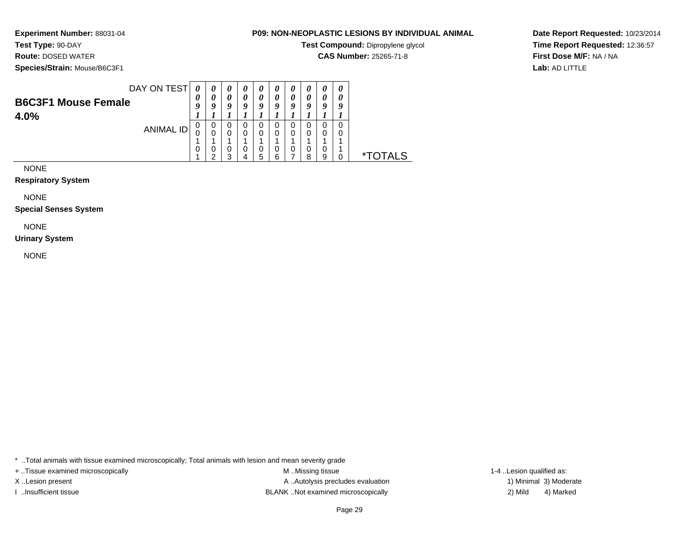## **Test Type:** 90-DAY

**Route:** DOSED WATER

**Species/Strain:** Mouse/B6C3F1

## **P09: NON-NEOPLASTIC LESIONS BY INDIVIDUAL ANIMAL**

**Test Compound:** Dipropylene glycol

**CAS Number:** 25265-71-8

**Date Report Requested:** 10/23/2014**Time Report Requested:** 12:36:57**First Dose M/F:** NA / NA**Lab:** AD LITTLE

| DAY ON TEST<br><b>B6C3F1 Mouse Female</b> | $\theta$<br>U | $\boldsymbol{\theta}$<br>U<br>a | 0<br>0<br>Q | U<br>o | O      |         | U<br>o | U<br>0 | $\theta$<br>0 | U<br>U |    |
|-------------------------------------------|---------------|---------------------------------|-------------|--------|--------|---------|--------|--------|---------------|--------|----|
| 4.0%<br>ANIMAL ID                         | υ<br>ι.       | 0<br>0                          | 0<br>0      | U<br>0 | υ<br>0 |         | U<br>0 |        |               |        |    |
|                                           | U             | U<br>◠                          | 0<br>◠      | O      | υ      | υ<br>ีค | υ      | U<br>o | 0<br>a        |        | ∗⊤ |

NONE

#### **Respiratory System**

NONE

**Special Senses System**

## NONE

**Urinary System**

NONE

\* ..Total animals with tissue examined microscopically; Total animals with lesion and mean severity grade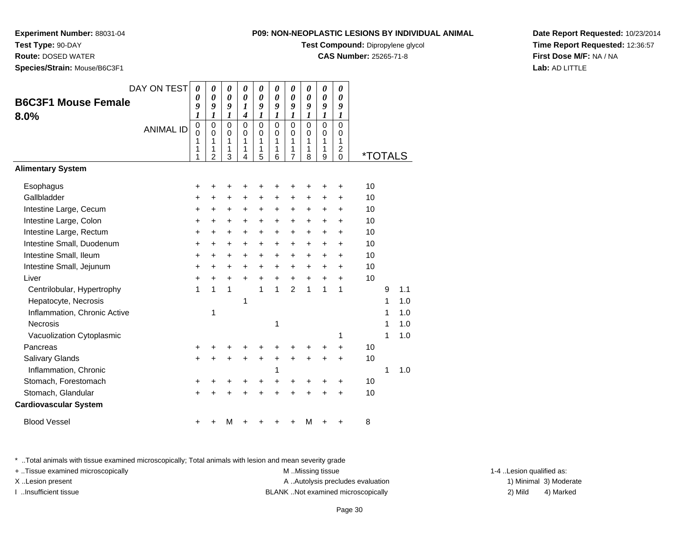**Test Compound:** Dipropylene glycol

0 \*TOTALS

**CAS Number:** 25265-71-8

**Date Report Requested:** 10/23/2014**Time Report Requested:** 12:36:57**First Dose M/F:** NA / NA**Lab:** AD LITTLE

| Gallbladder                                                                                             |       |   |   |  |   |               |                  |           | 10                                |   |     |                          |
|---------------------------------------------------------------------------------------------------------|-------|---|---|--|---|---------------|------------------|-----------|-----------------------------------|---|-----|--------------------------|
| Intestine Large, Cecum                                                                                  |       |   |   |  |   |               |                  |           | 10                                |   |     |                          |
| Intestine Large, Colon                                                                                  | $\pm$ |   |   |  |   |               |                  |           | 10                                |   |     |                          |
| Intestine Large, Rectum                                                                                 |       |   |   |  |   |               |                  |           | 10                                |   |     |                          |
| Intestine Small, Duodenum                                                                               |       |   |   |  |   |               |                  | $\ddot{}$ | 10                                |   |     |                          |
| Intestine Small, Ileum                                                                                  |       |   |   |  |   |               |                  | $\ddot{}$ | 10                                |   |     |                          |
| Intestine Small, Jejunum                                                                                |       |   |   |  |   |               |                  | $\ddot{}$ | 10                                |   |     |                          |
| Liver                                                                                                   |       |   |   |  |   |               |                  | $\ddot{}$ | 10                                |   |     |                          |
| Centrilobular, Hypertrophy                                                                              |       |   |   |  |   | $\mathcal{P}$ |                  |           |                                   | 9 | 1.1 |                          |
| Hepatocyte, Necrosis                                                                                    |       |   |   |  |   |               |                  |           |                                   |   | 1.0 |                          |
| Inflammation, Chronic Active                                                                            |       | 1 |   |  |   |               |                  |           |                                   |   | 1.0 |                          |
| <b>Necrosis</b>                                                                                         |       |   |   |  | 1 |               |                  |           |                                   |   | 1.0 |                          |
| Vacuolization Cytoplasmic                                                                               |       |   |   |  |   |               |                  |           |                                   | 1 | 1.0 |                          |
| Pancreas                                                                                                |       |   |   |  |   |               |                  |           | 10                                |   |     |                          |
| Salivary Glands                                                                                         |       |   |   |  |   |               |                  | ÷         | 10                                |   |     |                          |
| Inflammation, Chronic                                                                                   |       |   |   |  |   |               |                  |           |                                   |   | 1.0 |                          |
| Stomach, Forestomach                                                                                    |       |   |   |  |   |               |                  |           | 10                                |   |     |                          |
| Stomach, Glandular                                                                                      |       |   |   |  |   |               |                  |           | 10                                |   |     |                          |
| <b>Cardiovascular System</b>                                                                            |       |   |   |  |   |               |                  |           |                                   |   |     |                          |
| <b>Blood Vessel</b>                                                                                     |       |   | м |  |   |               | м                |           | 8                                 |   |     |                          |
| * Total animals with tissue examined microscopically; Total animals with lesion and mean severity grade |       |   |   |  |   |               |                  |           |                                   |   |     |                          |
| + Tissue examined microscopically                                                                       |       |   |   |  |   |               | M Missing tissue |           |                                   |   |     | 1-4 Lesion qualified as: |
| XLesion present                                                                                         |       |   |   |  |   |               |                  |           | A  Autolysis precludes evaluation |   |     | 1) Minimal 3) Moderate   |
|                                                                                                         |       |   |   |  |   |               |                  |           |                                   |   |     |                          |

**Experiment Number:** 88031-04

**Species/Strain:** Mouse/B6C3F1

**B6C3F1 Mouse Female**

DAY ON TEST

<sup>+</sup> <sup>+</sup> <sup>+</sup> <sup>+</sup> <sup>+</sup> <sup>+</sup> <sup>+</sup> <sup>+</sup> + 10

ANIMAL ID

 $\mathsf{S}$  +

**Test Type:** 90-DAY**Route:** DOSED WATER

**Alimentary System**

**Esophagus** 

Gallbladder

**8.0%**

I ..Insufficient tissue BLANK ..Not examined microscopically 2) Mild 4) Marked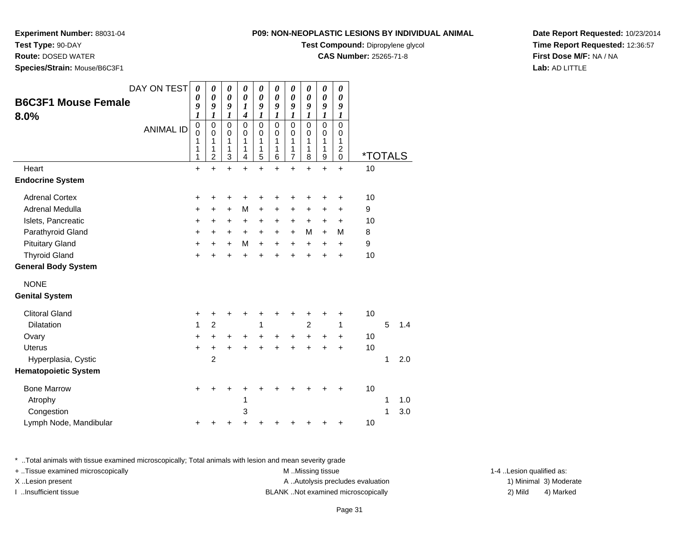**Test Compound:** Dipropylene glycol

**CAS Number:** 25265-71-8

**Date Report Requested:** 10/23/2014**Time Report Requested:** 12:36:57**First Dose M/F:** NA / NA**Lab:** AD LITTLE

# + ..Tissue examined microscopically examined microscopically examined as:  $M$  ..Missing tissue 1-4 ..Lesion qualified as: X..Lesion present **A ..Autolysis precludes evaluation** A ..Autolysis precludes evaluation 1) Minimal 3) Moderate I ..Insufficient tissue BLANK ..Not examined microscopically 2) Mild 4) Marked

### Page 31

|                             | <b>ANIMAL ID</b> | 0<br>0<br>1<br>1<br>1 | 0<br>$\mathbf 0$<br>1<br>1<br>$\overline{2}$ | 0<br>$\mathbf 0$<br>1<br>1<br>3 | 0<br>$\mathbf 0$<br>1<br>1<br>4 | 0<br>$\mathbf 0$<br>1<br>1<br>5 | 0<br>$\mathbf 0$<br>1<br>6 | 0<br>$\mathbf 0$<br>1<br>1<br>$\overline{7}$ | 0<br>$\mathbf 0$<br>1<br>1<br>8 | 0<br>0<br>1<br>1<br>9 | 0<br>0<br>1<br>$\overline{c}$<br>$\mathbf 0$ | <i><b>*TOTALS</b></i> |   |     |
|-----------------------------|------------------|-----------------------|----------------------------------------------|---------------------------------|---------------------------------|---------------------------------|----------------------------|----------------------------------------------|---------------------------------|-----------------------|----------------------------------------------|-----------------------|---|-----|
| Heart                       |                  | +                     | $\ddot{}$                                    | $\ddot{}$                       | $\ddot{}$                       | $\ddot{}$                       | $\ddot{}$                  | $\ddot{}$                                    | $\ddot{}$                       | $\ddot{}$             | $\ddot{}$                                    | 10                    |   |     |
| <b>Endocrine System</b>     |                  |                       |                                              |                                 |                                 |                                 |                            |                                              |                                 |                       |                                              |                       |   |     |
| <b>Adrenal Cortex</b>       |                  | +                     | ٠                                            | +                               |                                 | +                               |                            |                                              |                                 |                       | ٠                                            | 10                    |   |     |
| Adrenal Medulla             |                  | +                     | +                                            | $\ddot{}$                       | М                               | $\ddot{}$                       | +                          | +                                            | $\ddot{}$                       | $\ddot{}$             | +                                            | 9                     |   |     |
| Islets, Pancreatic          |                  | $\ddot{}$             | +                                            | $\ddot{}$                       | +                               | $+$                             | $\ddot{}$                  | $\ddot{}$                                    | $\ddot{}$                       | $\ddot{}$             | $\ddot{}$                                    | 10                    |   |     |
| Parathyroid Gland           |                  | +                     | $\ddot{}$                                    | $\ddot{}$                       | $+$                             | $+$                             | $+$                        | $\ddot{}$                                    | M                               | $+$                   | м                                            | 8                     |   |     |
| <b>Pituitary Gland</b>      |                  | +                     | $\ddot{}$                                    | $\ddot{}$                       | M                               | $\ddot{}$                       | $\ddot{}$                  | $\ddot{}$                                    | $\ddot{}$                       | $\ddot{}$             | $\ddot{}$                                    | 9                     |   |     |
| <b>Thyroid Gland</b>        |                  | $\ddot{}$             | $\ddot{}$                                    | $\ddot{}$                       | $\ddot{}$                       | $\ddot{}$                       | $\ddot{}$                  | $\ddot{}$                                    | $\ddot{}$                       | $\ddot{}$             | $\ddot{}$                                    | 10                    |   |     |
| <b>General Body System</b>  |                  |                       |                                              |                                 |                                 |                                 |                            |                                              |                                 |                       |                                              |                       |   |     |
| <b>NONE</b>                 |                  |                       |                                              |                                 |                                 |                                 |                            |                                              |                                 |                       |                                              |                       |   |     |
| <b>Genital System</b>       |                  |                       |                                              |                                 |                                 |                                 |                            |                                              |                                 |                       |                                              |                       |   |     |
| <b>Clitoral Gland</b>       |                  | $\ddot{}$             | +                                            | +                               | ٠                               | +                               | ٠                          | +                                            | +                               | ٠                     | +                                            | 10                    |   |     |
| <b>Dilatation</b>           |                  | 1                     | $\overline{c}$                               |                                 |                                 | 1                               |                            |                                              | $\overline{2}$                  |                       | 1                                            |                       | 5 | 1.4 |
| Ovary                       |                  | +                     | $\ddot{}$                                    | $\ddot{}$                       | +                               | +                               | $\ddot{}$                  | +                                            | $\ddot{}$                       | $\ddot{}$             | $\pm$                                        | 10                    |   |     |
| <b>Uterus</b>               |                  | $\ddot{}$             | +                                            | $\ddot{}$                       | $\ddot{}$                       | $\ddot{}$                       | $\ddot{}$                  | $\ddot{}$                                    | $\ddot{}$                       | $\ddot{}$             | $\ddot{}$                                    | 10                    |   |     |
| Hyperplasia, Cystic         |                  |                       | $\overline{c}$                               |                                 |                                 |                                 |                            |                                              |                                 |                       |                                              |                       | 1 | 2.0 |
| <b>Hematopoietic System</b> |                  |                       |                                              |                                 |                                 |                                 |                            |                                              |                                 |                       |                                              |                       |   |     |
| <b>Bone Marrow</b>          |                  | $\ddot{}$             | +                                            | ٠                               |                                 |                                 |                            |                                              |                                 |                       |                                              | 10                    |   |     |
| Atrophy                     |                  |                       |                                              |                                 | 1                               |                                 |                            |                                              |                                 |                       |                                              |                       | 1 | 1.0 |
| Congestion                  |                  |                       |                                              |                                 | 3                               |                                 |                            |                                              |                                 |                       |                                              |                       | 1 | 3.0 |
| Lymph Node, Mandibular      |                  | +                     |                                              | +                               |                                 | +                               |                            |                                              |                                 |                       |                                              | 10                    |   |     |

## **Experiment Number:** 88031-04

**Test Type:** 90-DAY

**Route:** DOSED WATER

**8.0%**

**Species/Strain:** Mouse/B6C3F1

**B6C3F1 Mouse Female**

DAY ON TEST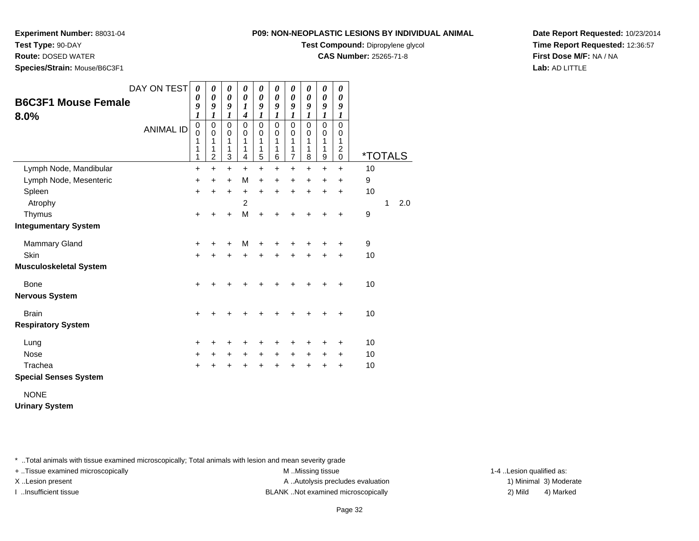**Test Type:** 90-DAY

**Route:** DOSED WATER

**Species/Strain:** Mouse/B6C3F1

### **P09: NON-NEOPLASTIC LESIONS BY INDIVIDUAL ANIMAL**

**Test Compound:** Dipropylene glycol

**CAS Number:** 25265-71-8

**Date Report Requested:** 10/23/2014**Time Report Requested:** 12:36:57**First Dose M/F:** NA / NA**Lab:** AD LITTLE

| <b>B6C3F1 Mouse Female</b><br>8.0% | DAY ON TEST<br><b>ANIMAL ID</b> | $\boldsymbol{\theta}$<br>0<br>9<br>1<br>$\mathbf 0$<br>$\mathbf 0$<br>1<br>1<br>1 | 0<br>0<br>9<br>1<br>$\mathbf 0$<br>$\mathbf 0$<br>1<br>1<br>2 | $\boldsymbol{\theta}$<br>$\boldsymbol{\theta}$<br>9<br>1<br>$\mathbf 0$<br>$\mathbf 0$<br>1<br>1<br>3 | 0<br>$\boldsymbol{\theta}$<br>1<br>$\boldsymbol{4}$<br>$\mathbf 0$<br>0<br>1<br>1<br>4 | 0<br>$\boldsymbol{\theta}$<br>9<br>1<br>$\mathbf 0$<br>$\mathbf 0$<br>1<br>1<br>5 | 0<br>$\boldsymbol{\theta}$<br>9<br>1<br>$\mathbf 0$<br>0<br>1<br>1<br>6 | 0<br>$\boldsymbol{\theta}$<br>9<br>1<br>$\mathbf 0$<br>0<br>1<br>1<br>$\overline{7}$ | 0<br>$\boldsymbol{\theta}$<br>9<br>1<br>$\mathbf 0$<br>0<br>1<br>1<br>8 | $\boldsymbol{\theta}$<br>$\boldsymbol{\theta}$<br>9<br>1<br>$\mathbf 0$<br>0<br>1<br>1<br>9 | $\boldsymbol{\theta}$<br>0<br>9<br>1<br>$\Omega$<br>0<br>1<br>$\overline{c}$<br>$\pmb{0}$ | <i><b>*TOTALS</b></i> |   |     |
|------------------------------------|---------------------------------|-----------------------------------------------------------------------------------|---------------------------------------------------------------|-------------------------------------------------------------------------------------------------------|----------------------------------------------------------------------------------------|-----------------------------------------------------------------------------------|-------------------------------------------------------------------------|--------------------------------------------------------------------------------------|-------------------------------------------------------------------------|---------------------------------------------------------------------------------------------|-------------------------------------------------------------------------------------------|-----------------------|---|-----|
| Lymph Node, Mandibular             |                                 | +                                                                                 | +                                                             | $\ddot{}$                                                                                             | $\ddot{}$                                                                              | $\ddot{}$                                                                         | $\ddot{}$                                                               | $\ddot{}$                                                                            | $\ddot{}$                                                               | $\ddot{}$                                                                                   | $\ddot{}$                                                                                 | 10                    |   |     |
| Lymph Node, Mesenteric             |                                 | +                                                                                 | +                                                             | $\ddot{}$                                                                                             | М                                                                                      | $\ddot{}$                                                                         | $\ddot{}$                                                               | +                                                                                    | +                                                                       | +                                                                                           | +                                                                                         | 9                     |   |     |
| Spleen                             |                                 | $\ddot{}$                                                                         | $\ddot{}$                                                     | $\ddot{}$                                                                                             | +                                                                                      | $\ddot{}$                                                                         | $\ddot{}$                                                               | $\ddot{}$                                                                            | $\ddot{}$                                                               | $\ddot{}$                                                                                   | $\ddot{}$                                                                                 | 10                    |   |     |
| Atrophy                            |                                 |                                                                                   |                                                               |                                                                                                       | $\overline{2}$                                                                         |                                                                                   |                                                                         |                                                                                      |                                                                         |                                                                                             |                                                                                           |                       | 1 | 2.0 |
| Thymus                             |                                 | $\ddot{}$                                                                         | +                                                             | +                                                                                                     | M                                                                                      | $\ddot{}$                                                                         | +                                                                       | +                                                                                    | ÷                                                                       | $\ddot{}$                                                                                   | $\ddot{}$                                                                                 | $\boldsymbol{9}$      |   |     |
| <b>Integumentary System</b>        |                                 |                                                                                   |                                                               |                                                                                                       |                                                                                        |                                                                                   |                                                                         |                                                                                      |                                                                         |                                                                                             |                                                                                           |                       |   |     |
| Mammary Gland                      |                                 | +                                                                                 | ٠                                                             | +                                                                                                     | М                                                                                      | +                                                                                 | +                                                                       | +                                                                                    | ٠                                                                       | ÷                                                                                           | ÷                                                                                         | 9                     |   |     |
| Skin                               |                                 | $\ddot{}$                                                                         | $\ddot{}$                                                     | +                                                                                                     | $\ddot{}$                                                                              | $\ddot{}$                                                                         | $\ddot{}$                                                               | $\ddot{}$                                                                            | $\ddot{}$                                                               | $\ddot{}$                                                                                   | +                                                                                         | 10                    |   |     |
| <b>Musculoskeletal System</b>      |                                 |                                                                                   |                                                               |                                                                                                       |                                                                                        |                                                                                   |                                                                         |                                                                                      |                                                                         |                                                                                             |                                                                                           |                       |   |     |
| <b>Bone</b>                        |                                 | $\ddot{}$                                                                         | ÷                                                             | +                                                                                                     | +                                                                                      | +                                                                                 | +                                                                       | +                                                                                    | +                                                                       | +                                                                                           | ÷                                                                                         | 10                    |   |     |
| <b>Nervous System</b>              |                                 |                                                                                   |                                                               |                                                                                                       |                                                                                        |                                                                                   |                                                                         |                                                                                      |                                                                         |                                                                                             |                                                                                           |                       |   |     |
| <b>Brain</b>                       |                                 | $\ddot{}$                                                                         | +                                                             | +                                                                                                     | +                                                                                      | +                                                                                 | +                                                                       | ٠                                                                                    | +                                                                       | ٠                                                                                           | $\ddot{}$                                                                                 | 10                    |   |     |
| <b>Respiratory System</b>          |                                 |                                                                                   |                                                               |                                                                                                       |                                                                                        |                                                                                   |                                                                         |                                                                                      |                                                                         |                                                                                             |                                                                                           |                       |   |     |
| Lung                               |                                 | ٠                                                                                 |                                                               |                                                                                                       |                                                                                        |                                                                                   |                                                                         | +                                                                                    | +                                                                       | ٠                                                                                           | ٠                                                                                         | 10                    |   |     |
| <b>Nose</b>                        |                                 | +                                                                                 | ٠                                                             | +                                                                                                     | +                                                                                      | +                                                                                 | $\ddot{}$                                                               | +                                                                                    | $\ddot{}$                                                               | +                                                                                           | $\ddot{}$                                                                                 | 10                    |   |     |
| Trachea                            |                                 | +                                                                                 | +                                                             | +                                                                                                     | +                                                                                      | +                                                                                 | +                                                                       | +                                                                                    | +                                                                       | +                                                                                           | +                                                                                         | 10                    |   |     |
| <b>Special Senses System</b>       |                                 |                                                                                   |                                                               |                                                                                                       |                                                                                        |                                                                                   |                                                                         |                                                                                      |                                                                         |                                                                                             |                                                                                           |                       |   |     |
|                                    |                                 |                                                                                   |                                                               |                                                                                                       |                                                                                        |                                                                                   |                                                                         |                                                                                      |                                                                         |                                                                                             |                                                                                           |                       |   |     |

NONE

**Urinary System**

\* ..Total animals with tissue examined microscopically; Total animals with lesion and mean severity grade